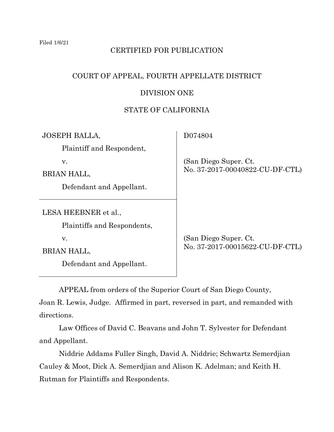# CERTIFIED FOR PUBLICATION

# COURT OF APPEAL, FOURTH APPELLATE DISTRICT

## DIVISION ONE

# STATE OF CALIFORNIA

| <b>JOSEPH BALLA,</b>        | D074804                                                   |
|-----------------------------|-----------------------------------------------------------|
| Plaintiff and Respondent,   |                                                           |
| v.                          | (San Diego Super. Ct.)<br>No. 37-2017-00040822-CU-DF-CTL) |
| BRIAN HALL,                 |                                                           |
| Defendant and Appellant.    |                                                           |
|                             |                                                           |
| LESA HEEBNER et al.,        |                                                           |
| Plaintiffs and Respondents, |                                                           |
| v.                          | (San Diego Super. Ct.)                                    |
| BRIAN HALL,                 | No. 37-2017-00015622-CU-DF-CTL)                           |
| Defendant and Appellant.    |                                                           |
|                             |                                                           |

APPEAL from orders of the Superior Court of San Diego County,

Joan R. Lewis, Judge. Affirmed in part, reversed in part, and remanded with directions.

Law Offices of David C. Beavans and John T. Sylvester for Defendant and Appellant.

Niddrie Addams Fuller Singh, David A. Niddrie; Schwartz Semerdjian Cauley & Moot, Dick A. Semerdjian and Alison K. Adelman; and Keith H. Rutman for Plaintiffs and Respondents.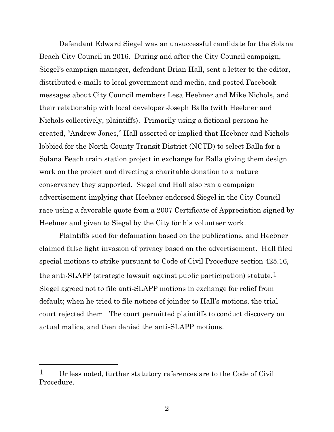Defendant Edward Siegel was an unsuccessful candidate for the Solana Beach City Council in 2016. During and after the City Council campaign, Siegel's campaign manager, defendant Brian Hall, sent a letter to the editor, distributed e-mails to local government and media, and posted Facebook messages about City Council members Lesa Heebner and Mike Nichols, and their relationship with local developer Joseph Balla (with Heebner and Nichols collectively, plaintiffs). Primarily using a fictional persona he created, "Andrew Jones," Hall asserted or implied that Heebner and Nichols lobbied for the North County Transit District (NCTD) to select Balla for a Solana Beach train station project in exchange for Balla giving them design work on the project and directing a charitable donation to a nature conservancy they supported. Siegel and Hall also ran a campaign advertisement implying that Heebner endorsed Siegel in the City Council race using a favorable quote from a 2007 Certificate of Appreciation signed by Heebner and given to Siegel by the City for his volunteer work.

Plaintiffs sued for defamation based on the publications, and Heebner claimed false light invasion of privacy based on the advertisement. Hall filed special motions to strike pursuant to Code of Civil Procedure section 425.16, the anti-SLAPP (strategic lawsuit against public participation) statute.<sup>1</sup> Siegel agreed not to file anti-SLAPP motions in exchange for relief from default; when he tried to file notices of joinder to Hall's motions, the trial court rejected them. The court permitted plaintiffs to conduct discovery on actual malice, and then denied the anti-SLAPP motions.

<sup>1</sup> Unless noted, further statutory references are to the Code of Civil Procedure.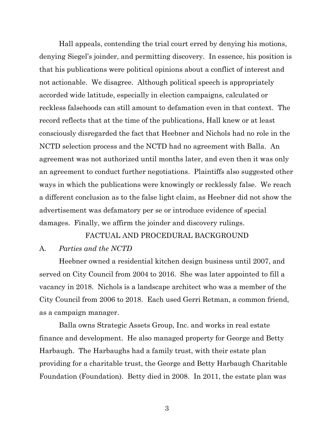Hall appeals, contending the trial court erred by denying his motions, denying Siegel's joinder, and permitting discovery. In essence, his position is that his publications were political opinions about a conflict of interest and not actionable. We disagree. Although political speech is appropriately accorded wide latitude, especially in election campaigns, calculated or reckless falsehoods can still amount to defamation even in that context. The record reflects that at the time of the publications, Hall knew or at least consciously disregarded the fact that Heebner and Nichols had no role in the NCTD selection process and the NCTD had no agreement with Balla. An agreement was not authorized until months later, and even then it was only an agreement to conduct further negotiations. Plaintiffs also suggested other ways in which the publications were knowingly or recklessly false. We reach a different conclusion as to the false light claim, as Heebner did not show the advertisement was defamatory per se or introduce evidence of special damages. Finally, we affirm the joinder and discovery rulings.

#### FACTUAL AND PROCEDURAL BACKGROUND

#### A. *Parties and the NCTD*

Heebner owned a residential kitchen design business until 2007, and served on City Council from 2004 to 2016. She was later appointed to fill a vacancy in 2018. Nichols is a landscape architect who was a member of the City Council from 2006 to 2018. Each used Gerri Retman, a common friend, as a campaign manager.

Balla owns Strategic Assets Group, Inc. and works in real estate finance and development. He also managed property for George and Betty Harbaugh. The Harbaughs had a family trust, with their estate plan providing for a charitable trust, the George and Betty Harbaugh Charitable Foundation (Foundation). Betty died in 2008. In 2011, the estate plan was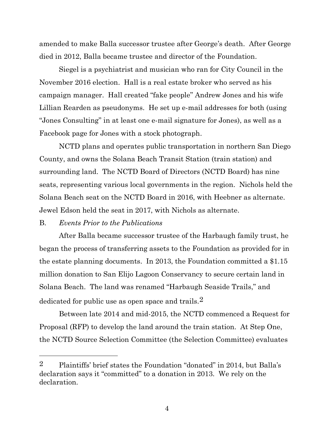amended to make Balla successor trustee after George's death. After George died in 2012, Balla became trustee and director of the Foundation.

Siegel is a psychiatrist and musician who ran for City Council in the November 2016 election. Hall is a real estate broker who served as his campaign manager. Hall created "fake people" Andrew Jones and his wife Lillian Rearden as pseudonyms. He set up e-mail addresses for both (using "Jones Consulting" in at least one e-mail signature for Jones), as well as a Facebook page for Jones with a stock photograph.

NCTD plans and operates public transportation in northern San Diego County, and owns the Solana Beach Transit Station (train station) and surrounding land. The NCTD Board of Directors (NCTD Board) has nine seats, representing various local governments in the region. Nichols held the Solana Beach seat on the NCTD Board in 2016, with Heebner as alternate. Jewel Edson held the seat in 2017, with Nichols as alternate.

## B. *Events Prior to the Publications*

After Balla became successor trustee of the Harbaugh family trust, he began the process of transferring assets to the Foundation as provided for in the estate planning documents. In 2013, the Foundation committed a \$1.15 million donation to San Elijo Lagoon Conservancy to secure certain land in Solana Beach. The land was renamed "Harbaugh Seaside Trails," and dedicated for public use as open space and trails.2

Between late 2014 and mid-2015, the NCTD commenced a Request for Proposal (RFP) to develop the land around the train station. At Step One, the NCTD Source Selection Committee (the Selection Committee) evaluates

<sup>2</sup> Plaintiffs' brief states the Foundation "donated" in 2014, but Balla's declaration says it "committed" to a donation in 2013. We rely on the declaration.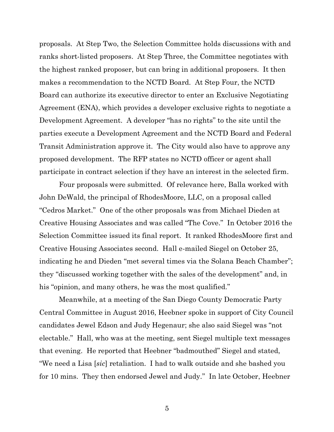proposals. At Step Two, the Selection Committee holds discussions with and ranks short-listed proposers. At Step Three, the Committee negotiates with the highest ranked proposer, but can bring in additional proposers. It then makes a recommendation to the NCTD Board. At Step Four, the NCTD Board can authorize its executive director to enter an Exclusive Negotiating Agreement (ENA), which provides a developer exclusive rights to negotiate a Development Agreement. A developer "has no rights" to the site until the parties execute a Development Agreement and the NCTD Board and Federal Transit Administration approve it. The City would also have to approve any proposed development. The RFP states no NCTD officer or agent shall participate in contract selection if they have an interest in the selected firm.

Four proposals were submitted. Of relevance here, Balla worked with John DeWald, the principal of RhodesMoore, LLC, on a proposal called "Cedros Market." One of the other proposals was from Michael Dieden at Creative Housing Associates and was called "The Cove." In October 2016 the Selection Committee issued its final report. It ranked RhodesMoore first and Creative Housing Associates second. Hall e-mailed Siegel on October 25, indicating he and Dieden "met several times via the Solana Beach Chamber"; they "discussed working together with the sales of the development" and, in his "opinion, and many others, he was the most qualified."

Meanwhile, at a meeting of the San Diego County Democratic Party Central Committee in August 2016, Heebner spoke in support of City Council candidates Jewel Edson and Judy Hegenaur; she also said Siegel was "not electable." Hall, who was at the meeting, sent Siegel multiple text messages that evening. He reported that Heebner "badmouthed" Siegel and stated, "We need a Lisa [*sic*] retaliation. I had to walk outside and she bashed you for 10 mins. They then endorsed Jewel and Judy." In late October, Heebner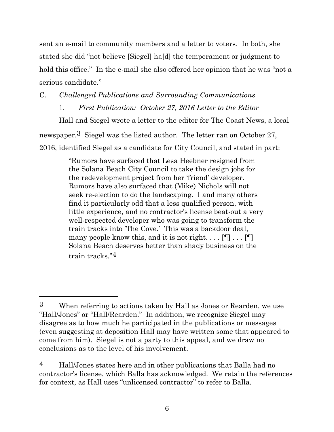sent an e-mail to community members and a letter to voters. In both, she stated she did "not believe [Siegel] ha[d] the temperament or judgment to hold this office." In the e-mail she also offered her opinion that he was "not a serious candidate."

# C. *Challenged Publications and Surrounding Communications*

# 1. *First Publication: October 27, 2016 Letter to the Editor*

Hall and Siegel wrote a letter to the editor for The Coast News, a local newspaper.3 Siegel was the listed author. The letter ran on October 27, 2016, identified Siegel as a candidate for City Council, and stated in part:

> "Rumors have surfaced that Lesa Heebner resigned from the Solana Beach City Council to take the design jobs for the redevelopment project from her 'friend' developer. Rumors have also surfaced that (Mike) Nichols will not seek re-election to do the landscaping. I and many others find it particularly odd that a less qualified person, with little experience, and no contractor's license beat-out a very well-respected developer who was going to transform the train tracks into 'The Cove.' This was a backdoor deal, many people know this, and it is not right.  $\ldots$  [[]  $\ldots$  [[]] Solana Beach deserves better than shady business on the train tracks."4

<sup>3</sup> When referring to actions taken by Hall as Jones or Rearden, we use "Hall/Jones" or "Hall/Rearden." In addition, we recognize Siegel may disagree as to how much he participated in the publications or messages (even suggesting at deposition Hall may have written some that appeared to come from him). Siegel is not a party to this appeal, and we draw no conclusions as to the level of his involvement.

<sup>4</sup> Hall/Jones states here and in other publications that Balla had no contractor's license, which Balla has acknowledged. We retain the references for context, as Hall uses "unlicensed contractor" to refer to Balla.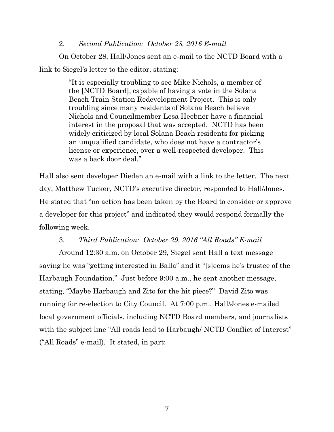### 2. *Second Publication: October 28, 2016 E-mail*

On October 28, Hall/Jones sent an e-mail to the NCTD Board with a link to Siegel's letter to the editor, stating:

> "It is especially troubling to see Mike Nichols, a member of the [NCTD Board], capable of having a vote in the Solana Beach Train Station Redevelopment Project. This is only troubling since many residents of Solana Beach believe Nichols and Councilmember Lesa Heebner have a financial interest in the proposal that was accepted. NCTD has been widely criticized by local Solana Beach residents for picking an unqualified candidate, who does not have a contractor's license or experience, over a well-respected developer. This was a back door deal."

Hall also sent developer Dieden an e-mail with a link to the letter. The next day, Matthew Tucker, NCTD's executive director, responded to Hall/Jones. He stated that "no action has been taken by the Board to consider or approve a developer for this project" and indicated they would respond formally the following week.

## 3. *Third Publication: October 29, 2016 "All Roads" E-mail*

Around 12:30 a.m. on October 29, Siegel sent Hall a text message saying he was "getting interested in Balla" and it "[s]eems he's trustee of the Harbaugh Foundation." Just before 9:00 a.m., he sent another message, stating, "Maybe Harbaugh and Zito for the hit piece?" David Zito was running for re-election to City Council. At 7:00 p.m., Hall/Jones e-mailed local government officials, including NCTD Board members, and journalists with the subject line "All roads lead to Harbaugh/ NCTD Conflict of Interest" ("All Roads" e-mail). It stated, in part: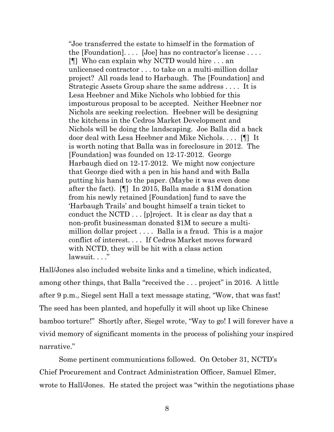"Joe transferred the estate to himself in the formation of the [Foundation].... [Joe] has no contractor's license.... [¶] Who can explain why NCTD would hire . . . an unlicensed contractor . . . to take on a multi-million dollar project? All roads lead to Harbaugh. The [Foundation] and Strategic Assets Group share the same address . . . . It is Lesa Heebner and Mike Nichols who lobbied for this imposturous proposal to be accepted. Neither Heebner nor Nichols are seeking reelection. Heebner will be designing the kitchens in the Cedros Market Development and Nichols will be doing the landscaping. Joe Balla did a back door deal with Lesa Heebner and Mike Nichols. . . . [¶] It is worth noting that Balla was in foreclosure in 2012. The [Foundation] was founded on 12-17-2012. George Harbaugh died on 12-17-2012. We might now conjecture that George died with a pen in his hand and with Balla putting his hand to the paper. (Maybe it was even done after the fact). [¶] In 2015, Balla made a \$1M donation from his newly retained [Foundation] fund to save the 'Harbaugh Trails' and bought himself a train ticket to conduct the NCTD . . . [p]roject. It is clear as day that a non-profit businessman donated \$1M to secure a multimillion dollar project . . . . Balla is a fraud. This is a major conflict of interest. . . . If Cedros Market moves forward with NCTD, they will be hit with a class action lawsuit. . . ."

Hall/Jones also included website links and a timeline, which indicated, among other things, that Balla "received the . . . project" in 2016. A little after 9 p.m., Siegel sent Hall a text message stating, "Wow, that was fast! The seed has been planted, and hopefully it will shoot up like Chinese bamboo torture!" Shortly after, Siegel wrote, "Way to go! I will forever have a vivid memory of significant moments in the process of polishing your inspired narrative."

Some pertinent communications followed. On October 31, NCTD's Chief Procurement and Contract Administration Officer, Samuel Elmer, wrote to Hall/Jones. He stated the project was "within the negotiations phase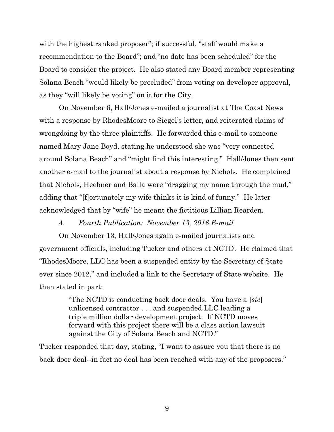with the highest ranked proposer"; if successful, "staff would make a recommendation to the Board"; and "no date has been scheduled" for the Board to consider the project. He also stated any Board member representing Solana Beach "would likely be precluded" from voting on developer approval, as they "will likely be voting" on it for the City.

On November 6, Hall/Jones e-mailed a journalist at The Coast News with a response by RhodesMoore to Siegel's letter, and reiterated claims of wrongdoing by the three plaintiffs. He forwarded this e-mail to someone named Mary Jane Boyd, stating he understood she was "very connected around Solana Beach" and "might find this interesting." Hall/Jones then sent another e-mail to the journalist about a response by Nichols. He complained that Nichols, Heebner and Balla were "dragging my name through the mud," adding that "[f]ortunately my wife thinks it is kind of funny." He later acknowledged that by "wife" he meant the fictitious Lillian Rearden.

## 4. *Fourth Publication: November 13, 2016 E-mail*

On November 13, Hall/Jones again e-mailed journalists and government officials, including Tucker and others at NCTD. He claimed that "RhodesMoore, LLC has been a suspended entity by the Secretary of State ever since 2012," and included a link to the Secretary of State website. He then stated in part:

> "The NCTD is conducting back door deals. You have a [*sic*] unlicensed contractor . . . and suspended LLC leading a triple million dollar development project. If NCTD moves forward with this project there will be a class action lawsuit against the City of Solana Beach and NCTD."

Tucker responded that day, stating, "I want to assure you that there is no back door deal--in fact no deal has been reached with any of the proposers."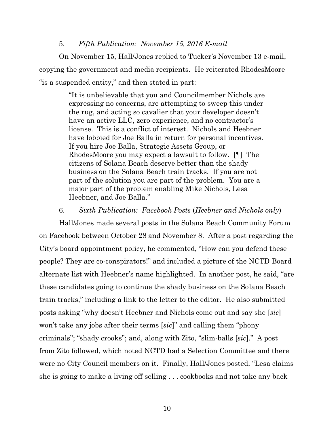#### 5. *Fifth Publication: November 15, 2016 E-mail*

On November 15, Hall/Jones replied to Tucker's November 13 e-mail, copying the government and media recipients. He reiterated RhodesMoore "is a suspended entity," and then stated in part:

> "It is unbelievable that you and Councilmember Nichols are expressing no concerns, are attempting to sweep this under the rug, and acting so cavalier that your developer doesn't have an active LLC, zero experience, and no contractor's license. This is a conflict of interest. Nichols and Heebner have lobbied for Joe Balla in return for personal incentives. If you hire Joe Balla, Strategic Assets Group, or RhodesMoore you may expect a lawsuit to follow. [¶] The citizens of Solana Beach deserve better than the shady business on the Solana Beach train tracks. If you are not part of the solution you are part of the problem. You are a major part of the problem enabling Mike Nichols, Lesa Heebner, and Joe Balla."

#### 6. *Sixth Publication: Facebook Posts* (*Heebner and Nichols only*)

Hall/Jones made several posts in the Solana Beach Community Forum on Facebook between October 28 and November 8. After a post regarding the City's board appointment policy, he commented, "How can you defend these people? They are co-conspirators!" and included a picture of the NCTD Board alternate list with Heebner's name highlighted. In another post, he said, "are these candidates going to continue the shady business on the Solana Beach train tracks," including a link to the letter to the editor. He also submitted posts asking "why doesn't Heebner and Nichols come out and say she [*sic*] won't take any jobs after their terms [*sic*]" and calling them "phony criminals"; "shady crooks"; and, along with Zito, "slim-balls [*sic*]." A post from Zito followed, which noted NCTD had a Selection Committee and there were no City Council members on it. Finally, Hall/Jones posted, "Lesa claims she is going to make a living off selling . . . cookbooks and not take any back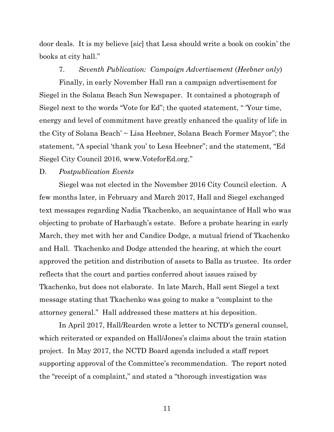door deals. It is my believe [*sic*] that Lesa should write a book on cookin' the books at city hall."

#### 7. *Seventh Publication: Campaign Advertisement* (*Heebner only*)

Finally, in early November Hall ran a campaign advertisement for Siegel in the Solana Beach Sun Newspaper. It contained a photograph of Siegel next to the words "Vote for Ed"; the quoted statement, " 'Your time, energy and level of commitment have greatly enhanced the quality of life in the City of Solana Beach' ~ Lisa Heebner, Solana Beach Former Mayor"; the statement, "A special 'thank you' to Lesa Heebner"; and the statement, "Ed Siegel City Council 2016, www.VoteforEd.org."

#### D. *Postpublication Events*

Siegel was not elected in the November 2016 City Council election. A few months later, in February and March 2017, Hall and Siegel exchanged text messages regarding Nadia Tkachenko, an acquaintance of Hall who was objecting to probate of Harbaugh's estate. Before a probate hearing in early March, they met with her and Candice Dodge, a mutual friend of Tkachenko and Hall. Tkachenko and Dodge attended the hearing, at which the court approved the petition and distribution of assets to Balla as trustee. Its order reflects that the court and parties conferred about issues raised by Tkachenko, but does not elaborate. In late March, Hall sent Siegel a text message stating that Tkachenko was going to make a "complaint to the attorney general." Hall addressed these matters at his deposition.

In April 2017, Hall/Rearden wrote a letter to NCTD's general counsel, which reiterated or expanded on Hall/Jones's claims about the train station project. In May 2017, the NCTD Board agenda included a staff report supporting approval of the Committee's recommendation. The report noted the "receipt of a complaint," and stated a "thorough investigation was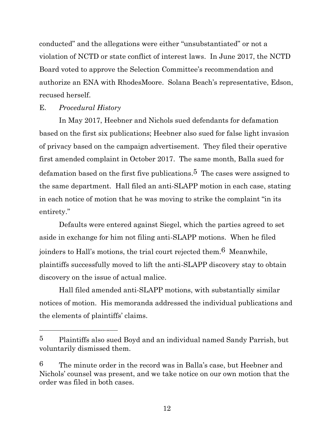conducted" and the allegations were either "unsubstantiated" or not a violation of NCTD or state conflict of interest laws. In June 2017, the NCTD Board voted to approve the Selection Committee's recommendation and authorize an ENA with RhodesMoore. Solana Beach's representative, Edson, recused herself.

#### E. *Procedural History*

In May 2017, Heebner and Nichols sued defendants for defamation based on the first six publications; Heebner also sued for false light invasion of privacy based on the campaign advertisement. They filed their operative first amended complaint in October 2017. The same month, Balla sued for defamation based on the first five publications.<sup>5</sup> The cases were assigned to the same department. Hall filed an anti-SLAPP motion in each case, stating in each notice of motion that he was moving to strike the complaint "in its entirety."

Defaults were entered against Siegel, which the parties agreed to set aside in exchange for him not filing anti-SLAPP motions. When he filed joinders to Hall's motions, the trial court rejected them.6 Meanwhile, plaintiffs successfully moved to lift the anti-SLAPP discovery stay to obtain discovery on the issue of actual malice.

Hall filed amended anti-SLAPP motions, with substantially similar notices of motion. His memoranda addressed the individual publications and the elements of plaintiffs' claims.

<sup>5</sup> Plaintiffs also sued Boyd and an individual named Sandy Parrish, but voluntarily dismissed them.

 $6$  The minute order in the record was in Balla's case, but Heebner and Nichols' counsel was present, and we take notice on our own motion that the order was filed in both cases.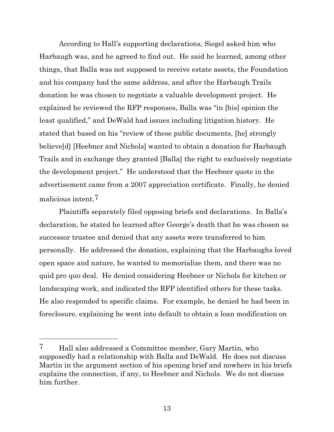According to Hall's supporting declarations, Siegel asked him who Harbaugh was, and he agreed to find out. He said he learned, among other things, that Balla was not supposed to receive estate assets, the Foundation and his company had the same address, and after the Harbaugh Trails donation he was chosen to negotiate a valuable development project. He explained he reviewed the RFP responses, Balla was "in [his] opinion the least qualified," and DeWald had issues including litigation history. He stated that based on his "review of these public documents, [he] strongly believe[d] [Heebner and Nichols] wanted to obtain a donation for Harbaugh Trails and in exchange they granted [Balla] the right to exclusively negotiate the development project." He understood that the Heebner quote in the advertisement came from a 2007 appreciation certificate. Finally, he denied malicious intent.7

Plaintiffs separately filed opposing briefs and declarations. In Balla's declaration, he stated he learned after George's death that he was chosen as successor trustee and denied that any assets were transferred to him personally. He addressed the donation, explaining that the Harbaughs loved open space and nature, he wanted to memorialize them, and there was no quid pro quo deal. He denied considering Heebner or Nichols for kitchen or landscaping work, and indicated the RFP identified others for these tasks. He also responded to specific claims. For example, he denied he had been in foreclosure, explaining he went into default to obtain a loan modification on

<sup>7</sup> Hall also addressed a Committee member, Gary Martin, who supposedly had a relationship with Balla and DeWald. He does not discuss Martin in the argument section of his opening brief and nowhere in his briefs explains the connection, if any, to Heebner and Nichols. We do not discuss him further.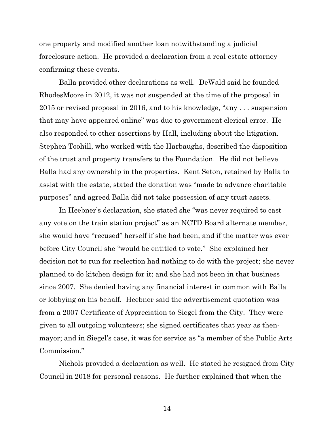one property and modified another loan notwithstanding a judicial foreclosure action. He provided a declaration from a real estate attorney confirming these events.

Balla provided other declarations as well. DeWald said he founded RhodesMoore in 2012, it was not suspended at the time of the proposal in 2015 or revised proposal in 2016, and to his knowledge, "any . . . suspension that may have appeared online" was due to government clerical error. He also responded to other assertions by Hall, including about the litigation. Stephen Toohill, who worked with the Harbaughs, described the disposition of the trust and property transfers to the Foundation. He did not believe Balla had any ownership in the properties. Kent Seton, retained by Balla to assist with the estate, stated the donation was "made to advance charitable purposes" and agreed Balla did not take possession of any trust assets.

In Heebner's declaration, she stated she "was never required to cast any vote on the train station project" as an NCTD Board alternate member, she would have "recused" herself if she had been, and if the matter was ever before City Council she "would be entitled to vote." She explained her decision not to run for reelection had nothing to do with the project; she never planned to do kitchen design for it; and she had not been in that business since 2007. She denied having any financial interest in common with Balla or lobbying on his behalf. Heebner said the advertisement quotation was from a 2007 Certificate of Appreciation to Siegel from the City. They were given to all outgoing volunteers; she signed certificates that year as thenmayor; and in Siegel's case, it was for service as "a member of the Public Arts Commission."

Nichols provided a declaration as well. He stated he resigned from City Council in 2018 for personal reasons. He further explained that when the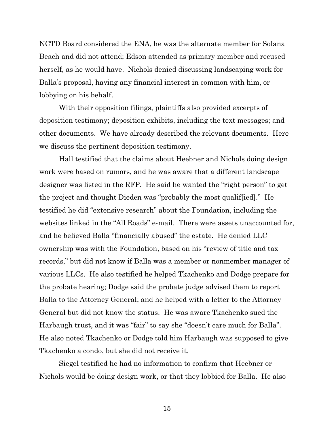NCTD Board considered the ENA, he was the alternate member for Solana Beach and did not attend; Edson attended as primary member and recused herself, as he would have. Nichols denied discussing landscaping work for Balla's proposal, having any financial interest in common with him, or lobbying on his behalf.

With their opposition filings, plaintiffs also provided excerpts of deposition testimony; deposition exhibits, including the text messages; and other documents. We have already described the relevant documents. Here we discuss the pertinent deposition testimony.

Hall testified that the claims about Heebner and Nichols doing design work were based on rumors, and he was aware that a different landscape designer was listed in the RFP. He said he wanted the "right person" to get the project and thought Dieden was "probably the most qualif[ied]." He testified he did "extensive research" about the Foundation, including the websites linked in the "All Roads" e-mail. There were assets unaccounted for, and he believed Balla "financially abused" the estate. He denied LLC ownership was with the Foundation, based on his "review of title and tax records," but did not know if Balla was a member or nonmember manager of various LLCs. He also testified he helped Tkachenko and Dodge prepare for the probate hearing; Dodge said the probate judge advised them to report Balla to the Attorney General; and he helped with a letter to the Attorney General but did not know the status. He was aware Tkachenko sued the Harbaugh trust, and it was "fair" to say she "doesn't care much for Balla". He also noted Tkachenko or Dodge told him Harbaugh was supposed to give Tkachenko a condo, but she did not receive it.

Siegel testified he had no information to confirm that Heebner or Nichols would be doing design work, or that they lobbied for Balla. He also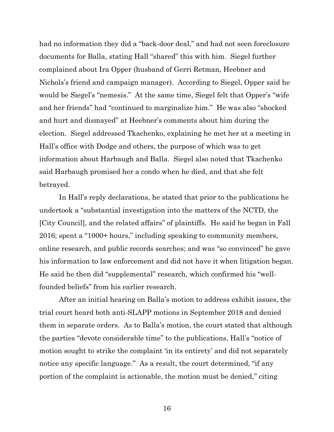had no information they did a "back-door deal," and had not seen foreclosure documents for Balla, stating Hall "shared" this with him. Siegel further complained about Ira Opper (husband of Gerri Retman, Heebner and Nichols's friend and campaign manager). According to Siegel, Opper said he would be Siegel's "nemesis." At the same time, Siegel felt that Opper's "wife and her friends" had "continued to marginalize him." He was also "shocked and hurt and dismayed" at Heebner's comments about him during the election. Siegel addressed Tkachenko, explaining he met her at a meeting in Hall's office with Dodge and others, the purpose of which was to get information about Harbaugh and Balla. Siegel also noted that Tkachenko said Harbaugh promised her a condo when he died, and that she felt betrayed.

In Hall's reply declarations, he stated that prior to the publications he undertook a "substantial investigation into the matters of the NCTD, the [City Council], and the related affairs" of plaintiffs. He said he began in Fall 2016; spent a "1000+ hours," including speaking to community members, online research, and public records searches; and was "so convinced" he gave his information to law enforcement and did not have it when litigation began. He said he then did "supplemental" research, which confirmed his "wellfounded beliefs" from his earlier research.

After an initial hearing on Balla's motion to address exhibit issues, the trial court heard both anti-SLAPP motions in September 2018 and denied them in separate orders. As to Balla's motion, the court stated that although the parties "devote considerable time" to the publications, Hall's "notice of motion sought to strike the complaint 'in its entirety' and did not separately notice any specific language." As a result, the court determined, "if any portion of the complaint is actionable, the motion must be denied," citing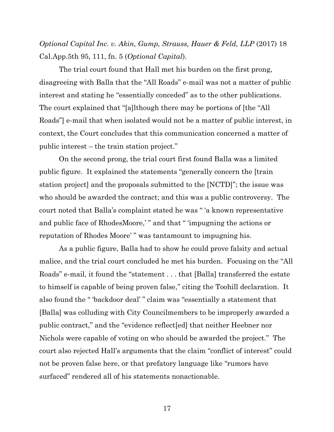*Optional Capital Inc. v. Akin, Gump, Strauss, Hauer & Feld, LLP* (2017) 18 Cal.App.5th 95, 111, fn. 5 (*Optional Capital*).

The trial court found that Hall met his burden on the first prong, disagreeing with Balla that the "All Roads" e-mail was not a matter of public interest and stating he "essentially conceded" as to the other publications. The court explained that "[a]lthough there may be portions of [the "All Roads"] e-mail that when isolated would not be a matter of public interest, in context, the Court concludes that this communication concerned a matter of public interest – the train station project."

On the second prong, the trial court first found Balla was a limited public figure. It explained the statements "generally concern the [train station project] and the proposals submitted to the [NCTD]"; the issue was who should be awarded the contract; and this was a public controversy. The court noted that Balla's complaint stated he was " 'a known representative and public face of RhodesMoore,' " and that " 'impugning the actions or reputation of Rhodes Moore' " was tantamount to impugning his.

As a public figure, Balla had to show he could prove falsity and actual malice, and the trial court concluded he met his burden. Focusing on the "All Roads" e-mail, it found the "statement . . . that [Balla] transferred the estate to himself is capable of being proven false," citing the Toohill declaration. It also found the " 'backdoor deal' " claim was "essentially a statement that [Balla] was colluding with City Councilmembers to be improperly awarded a public contract," and the "evidence reflect[ed] that neither Heebner nor Nichols were capable of voting on who should be awarded the project." The court also rejected Hall's arguments that the claim "conflict of interest" could not be proven false here, or that prefatory language like "rumors have surfaced" rendered all of his statements nonactionable.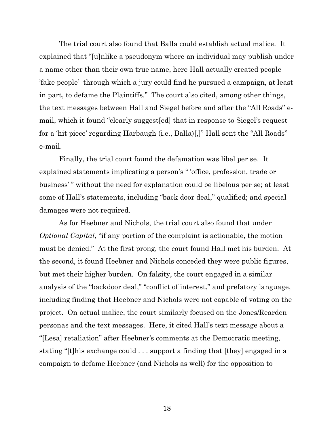The trial court also found that Balla could establish actual malice. It explained that "[u]nlike a pseudonym where an individual may publish under a name other than their own true name, here Hall actually created people– 'fake people'–through which a jury could find he pursued a campaign, at least in part, to defame the Plaintiffs." The court also cited, among other things, the text messages between Hall and Siegel before and after the "All Roads" email, which it found "clearly suggest[ed] that in response to Siegel's request for a 'hit piece' regarding Harbaugh (i.e., Balla)[,]" Hall sent the "All Roads" e-mail.

Finally, the trial court found the defamation was libel per se. It explained statements implicating a person's " 'office, profession, trade or business' " without the need for explanation could be libelous per se; at least some of Hall's statements, including "back door deal," qualified; and special damages were not required.

As for Heebner and Nichols, the trial court also found that under *Optional Capital*, "if any portion of the complaint is actionable, the motion must be denied." At the first prong, the court found Hall met his burden. At the second, it found Heebner and Nichols conceded they were public figures, but met their higher burden. On falsity, the court engaged in a similar analysis of the "backdoor deal," "conflict of interest," and prefatory language, including finding that Heebner and Nichols were not capable of voting on the project. On actual malice, the court similarly focused on the Jones/Rearden personas and the text messages. Here, it cited Hall's text message about a "[Lesa] retaliation" after Heebner's comments at the Democratic meeting, stating "[t]his exchange could . . . support a finding that [they] engaged in a campaign to defame Heebner (and Nichols as well) for the opposition to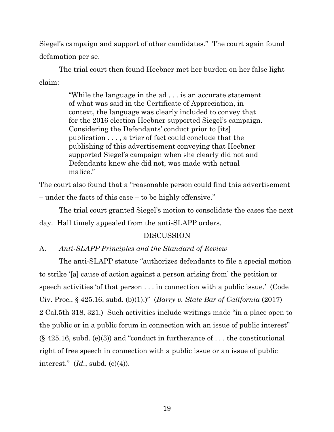Siegel's campaign and support of other candidates." The court again found defamation per se.

The trial court then found Heebner met her burden on her false light claim:

> "While the language in the ad . . . is an accurate statement of what was said in the Certificate of Appreciation, in context, the language was clearly included to convey that for the 2016 election Heebner supported Siegel's campaign. Considering the Defendants' conduct prior to [its] publication . . . , a trier of fact could conclude that the publishing of this advertisement conveying that Heebner supported Siegel's campaign when she clearly did not and Defendants knew she did not, was made with actual malice."

The court also found that a "reasonable person could find this advertisement – under the facts of this case – to be highly offensive."

The trial court granted Siegel's motion to consolidate the cases the next day. Hall timely appealed from the anti-SLAPP orders.

# DISCUSSION

# A. *Anti-SLAPP Principles and the Standard of Review*

The anti-SLAPP statute "authorizes defendants to file a special motion to strike '[a] cause of action against a person arising from' the petition or speech activities 'of that person . . . in connection with a public issue.' (Code Civ. Proc., § 425.16, subd. (b)(1).)" (*Barry v. State Bar of California* (2017) 2 Cal.5th 318, 321.) Such activities include writings made "in a place open to the public or in a public forum in connection with an issue of public interest"  $(\S$  425.16, subd. (e)(3)) and "conduct in furtherance of ... the constitutional right of free speech in connection with a public issue or an issue of public interest." (*Id.*, subd. (e)(4)).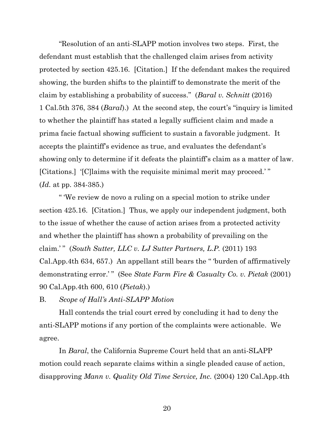"Resolution of an anti-SLAPP motion involves two steps. First, the defendant must establish that the challenged claim arises from activity protected by section 425.16. [Citation.] If the defendant makes the required showing, the burden shifts to the plaintiff to demonstrate the merit of the claim by establishing a probability of success." (*Baral v. Schnitt* (2016) 1 Cal.5th 376, 384 (*Baral*).) At the second step, the court's "inquiry is limited to whether the plaintiff has stated a legally sufficient claim and made a prima facie factual showing sufficient to sustain a favorable judgment. It accepts the plaintiff's evidence as true, and evaluates the defendant's showing only to determine if it defeats the plaintiff's claim as a matter of law. [Citations.] '[C]laims with the requisite minimal merit may proceed.' " (*Id.* at pp. 384-385.)

" 'We review de novo a ruling on a special motion to strike under section 425.16. [Citation.] Thus, we apply our independent judgment, both to the issue of whether the cause of action arises from a protected activity and whether the plaintiff has shown a probability of prevailing on the claim.' " (*South Sutter, LLC v. LJ Sutter Partners, L.P.* (2011) 193 Cal.App.4th 634, 657.) An appellant still bears the " 'burden of affirmatively demonstrating error.'" (See State Farm Fire & Casualty Co. v. Pietak (2001) 90 Cal.App.4th 600, 610 (*Pietak*).)

B. *Scope of Hall's Anti-SLAPP Motion*

Hall contends the trial court erred by concluding it had to deny the anti-SLAPP motions if any portion of the complaints were actionable. We agree.

In *Baral*, the California Supreme Court held that an anti-SLAPP motion could reach separate claims within a single pleaded cause of action, disapproving *Mann v. Quality Old Time Service, Inc.* (2004) 120 Cal.App.4th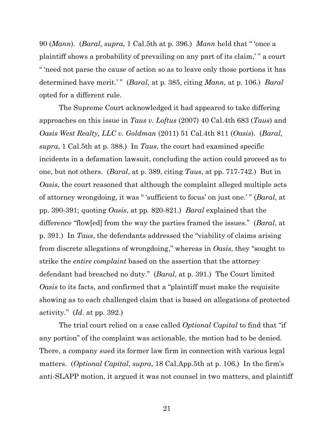90 (*Mann*). (*Baral*, *supra*, 1 Cal.5th at p. 396.) *Mann* held that " 'once a plaintiff shows a probability of prevailing on any part of its claim,' " a court " 'need not parse the cause of action so as to leave only those portions it has determined have merit.'" (*Baral*, at p. 385, citing *Mann*, at p. 106.) *Baral* opted for a different rule.

The Supreme Court acknowledged it had appeared to take differing approaches on this issue in *Taus v. Loftus* (2007) 40 Cal.4th 683 (*Taus*) and *Oasis West Realty, LLC v. Goldman* (2011) 51 Cal.4th 811 (*Oasis*). (*Baral*, *supra*, 1 Cal.5th at p. 388.) In *Taus*, the court had examined specific incidents in a defamation lawsuit, concluding the action could proceed as to one, but not others. (*Baral*, at p. 389, citing *Taus*, at pp. 717-742.) But in *Oasis*, the court reasoned that although the complaint alleged multiple acts of attorney wrongdoing, it was " 'sufficient to focus' on just one.' " (*Baral*, at pp. 390-391; quoting *Oasis*, at pp. 820-821.) *Baral* explained that the difference "flow[ed] from the way the parties framed the issues." (*Baral*, at p. 391.) In *Taus*, the defendants addressed the "viability of claims arising from discrete allegations of wrongdoing," whereas in *Oasis*, they "sought to strike the *entire complaint* based on the assertion that the attorney defendant had breached no duty." (*Baral*, at p. 391.) The Court limited *Oasis* to its facts, and confirmed that a "plaintiff must make the requisite showing as to each challenged claim that is based on allegations of protected activity." (*Id.* at pp. 392.)

The trial court relied on a case called *Optional Capital* to find that "if any portion" of the complaint was actionable, the motion had to be denied. There, a company sued its former law firm in connection with various legal matters. (*Optional Capital*, *supra*, 18 Cal.App.5th at p. 106.) In the firm's anti-SLAPP motion, it argued it was not counsel in two matters, and plaintiff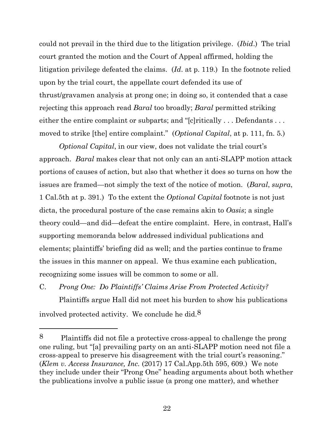could not prevail in the third due to the litigation privilege. (*Ibid*.) The trial court granted the motion and the Court of Appeal affirmed, holding the litigation privilege defeated the claims. (*Id*. at p. 119.) In the footnote relied upon by the trial court, the appellate court defended its use of thrust/gravamen analysis at prong one; in doing so, it contended that a case rejecting this approach read *Baral* too broadly; *Baral* permitted striking either the entire complaint or subparts; and "[c]ritically ... Defendants ... moved to strike [the] entire complaint." (*Optional Capital*, at p. 111, fn. 5*.*)

*Optional Capital*, in our view, does not validate the trial court's approach. *Baral* makes clear that not only can an anti-SLAPP motion attack portions of causes of action, but also that whether it does so turns on how the issues are framed—not simply the text of the notice of motion. (*Baral*, *supra*, 1 Cal.5th at p. 391.) To the extent the *Optional Capital* footnote is not just dicta, the procedural posture of the case remains akin to *Oasis*; a single theory could—and did—defeat the entire complaint. Here, in contrast, Hall's supporting memoranda below addressed individual publications and elements; plaintiffs' briefing did as well; and the parties continue to frame the issues in this manner on appeal. We thus examine each publication, recognizing some issues will be common to some or all.

C. *Prong One: Do Plaintiffs' Claims Arise From Protected Activity?*

Plaintiffs argue Hall did not meet his burden to show his publications involved protected activity. We conclude he did. $8$ 

<sup>8</sup> Plaintiffs did not file a protective cross-appeal to challenge the prong one ruling, but "[a] prevailing party on an anti-SLAPP motion need not file a cross-appeal to preserve his disagreement with the trial court's reasoning." (*Klem v. Access Insurance, Inc.* (2017) 17 Cal.App.5th 595, 609.) We note they include under their "Prong One" heading arguments about both whether the publications involve a public issue (a prong one matter), and whether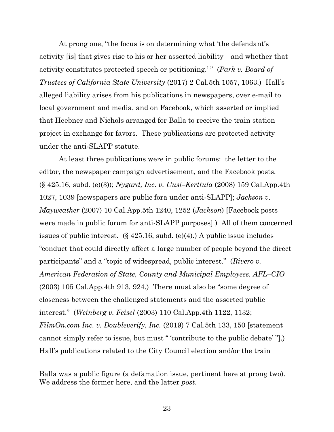At prong one, "the focus is on determining what 'the defendant's activity [is] that gives rise to his or her asserted liability—and whether that activity constitutes protected speech or petitioning.' " (*Park v. Board of Trustees of California State University* (2017) 2 Cal.5th 1057, 1063.) Hall's alleged liability arises from his publications in newspapers, over e-mail to local government and media, and on Facebook, which asserted or implied that Heebner and Nichols arranged for Balla to receive the train station project in exchange for favors. These publications are protected activity under the anti-SLAPP statute.

At least three publications were in public forums: the letter to the editor, the newspaper campaign advertisement, and the Facebook posts. (§ 425.16, subd. (e)(3)); *Nygard, Inc. v. Uusi–Kerttula* (2008) 159 Cal.App.4th 1027, 1039 [newspapers are public fora under anti-SLAPP]; *Jackson v. Mayweather* (2007) 10 Cal.App.5th 1240, 1252 (*Jackson*) [Facebook posts were made in public forum for anti-SLAPP purposes].) All of them concerned issues of public interest.  $(\S 425.16, \text{subd.}(\e)(4))$ . A public issue includes "conduct that could directly affect a large number of people beyond the direct participants" and a "topic of widespread, public interest." (*Rivero v. American Federation of State, County and Municipal Employees, AFL–CIO* (2003) 105 Cal.App.4th 913, 924.) There must also be "some degree of closeness between the challenged statements and the asserted public interest." (*Weinberg v. Feisel* (2003) 110 Cal.App.4th 1122, 1132; *FilmOn.com Inc. v. Doubleverify, Inc.* (2019) 7 Cal.5th 133, 150 [statement cannot simply refer to issue, but must " 'contribute to the public debate' "].) Hall's publications related to the City Council election and/or the train

Balla was a public figure (a defamation issue, pertinent here at prong two). We address the former here, and the latter *post*.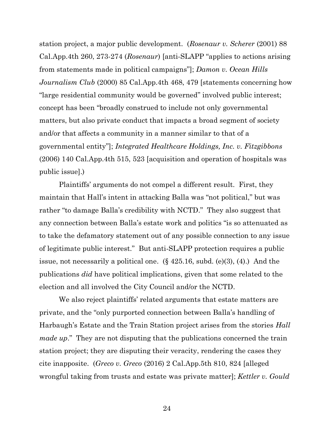station project, a major public development. (*Rosenaur v. Scherer* (2001) 88 Cal.App.4th 260, 273-274 (*Rosenaur*) [anti-SLAPP "applies to actions arising from statements made in political campaigns"]; *Damon v. Ocean Hills Journalism Club* (2000) 85 Cal.App.4th 468, 479 [statements concerning how "large residential community would be governed" involved public interest; concept has been "broadly construed to include not only governmental matters, but also private conduct that impacts a broad segment of society and/or that affects a community in a manner similar to that of a governmental entity"]; *Integrated Healthcare Holdings, Inc. v. Fitzgibbons* (2006) 140 Cal.App.4th 515, 523 [acquisition and operation of hospitals was public issue].)

Plaintiffs' arguments do not compel a different result. First, they maintain that Hall's intent in attacking Balla was "not political," but was rather "to damage Balla's credibility with NCTD." They also suggest that any connection between Balla's estate work and politics "is so attenuated as to take the defamatory statement out of any possible connection to any issue of legitimate public interest." But anti-SLAPP protection requires a public issue, not necessarily a political one. (§ 425.16, subd. (e)(3), (4).) And the publications *did* have political implications, given that some related to the election and all involved the City Council and/or the NCTD.

We also reject plaintiffs' related arguments that estate matters are private, and the "only purported connection between Balla's handling of Harbaugh's Estate and the Train Station project arises from the stories *Hall made up*." They are not disputing that the publications concerned the train station project; they are disputing their veracity, rendering the cases they cite inapposite. (*Greco v. Greco* (2016) 2 Cal.App.5th 810, 824 [alleged wrongful taking from trusts and estate was private matter]; *Kettler v. Gould*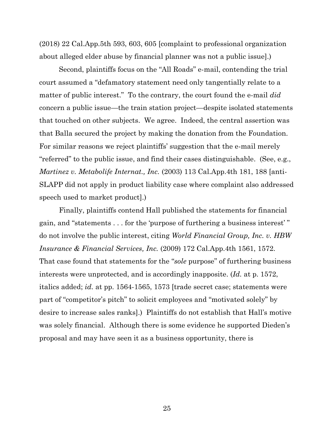(2018) 22 Cal.App.5th 593, 603, 605 [complaint to professional organization about alleged elder abuse by financial planner was not a public issue].)

Second, plaintiffs focus on the "All Roads" e-mail, contending the trial court assumed a "defamatory statement need only tangentially relate to a matter of public interest." To the contrary, the court found the e-mail *did* concern a public issue—the train station project—despite isolated statements that touched on other subjects. We agree. Indeed, the central assertion was that Balla secured the project by making the donation from the Foundation. For similar reasons we reject plaintiffs' suggestion that the e-mail merely "referred" to the public issue, and find their cases distinguishable. (See, e.g., *Martinez v. Metabolife Internat., Inc.* (2003) 113 Cal.App.4th 181, 188 [anti-SLAPP did not apply in product liability case where complaint also addressed speech used to market product].)

Finally, plaintiffs contend Hall published the statements for financial gain, and "statements . . . for the 'purpose of furthering a business interest' " do not involve the public interest, citing *World Financial Group, Inc. v. HBW Insurance & Financial Services, Inc.* (2009) 172 Cal.App.4th 1561, 1572. That case found that statements for the "*sole* purpose" of furthering business interests were unprotected, and is accordingly inapposite. (*Id.* at p. 1572, italics added; *id.* at pp. 1564-1565, 1573 [trade secret case; statements were part of "competitor's pitch" to solicit employees and "motivated solely" by desire to increase sales ranks].) Plaintiffs do not establish that Hall's motive was solely financial. Although there is some evidence he supported Dieden's proposal and may have seen it as a business opportunity, there is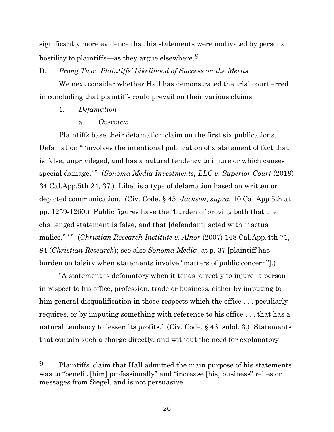significantly more evidence that his statements were motivated by personal hostility to plaintiffs—as they argue elsewhere.<sup>9</sup>

# D. *Prong Two: Plaintiffs' Likelihood of Success on the Merits*

We next consider whether Hall has demonstrated the trial court erred in concluding that plaintiffs could prevail on their various claims.

## 1. *Defamation*

## a. *Overview*

Plaintiffs base their defamation claim on the first six publications. Defamation " 'involves the intentional publication of a statement of fact that is false, unprivileged, and has a natural tendency to injure or which causes special damage.' " (*Sonoma Media Investments, LLC v. Superior Court* (2019) 34 Cal.App.5th 24, 37.) Libel is a type of defamation based on written or depicted communication. (Civ. Code, § 45; *Jackson, supra,* 10 Cal.App.5th at pp. 1259-1260.) Public figures have the "burden of proving both that the challenged statement is false, and that [defendant] acted with ' "actual malice." ' " (*Christian Research Institute v. Alnor* (2007) 148 Cal.App.4th 71, 84 (*Christian Research*); see also *Sonoma Media*, at p. 37 [plaintiff has burden on falsity when statements involve "matters of public concern"].)

"A statement is defamatory when it tends 'directly to injure [a person] in respect to his office, profession, trade or business, either by imputing to him general disqualification in those respects which the office ... peculiarly requires, or by imputing something with reference to his office . . . that has a natural tendency to lessen its profits.' (Civ. Code, § 46, subd. 3.) Statements that contain such a charge directly, and without the need for explanatory

<sup>9</sup> Plaintiffs' claim that Hall admitted the main purpose of his statements was to "benefit [him] professionally" and "increase [his] business" relies on messages from Siegel, and is not persuasive.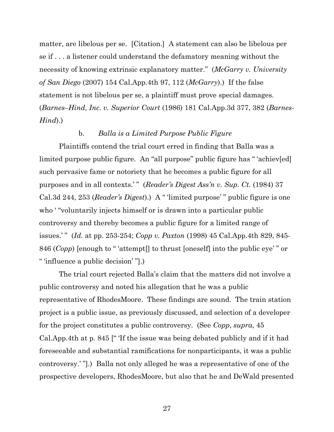matter, are libelous per se. [Citation.] A statement can also be libelous per se if . . . a listener could understand the defamatory meaning without the necessity of knowing extrinsic explanatory matter." (*McGarry v. University of San Diego* (2007) 154 Cal.App.4th 97, 112 (*McGarry*).) If the false statement is not libelous per se, a plaintiff must prove special damages. (*Barnes–Hind, Inc. v. Superior Court* (1986) 181 Cal.App.3d 377, 382 (*Barnes-Hind*).)

# b. *Balla is a Limited Purpose Public Figure*

Plaintiffs contend the trial court erred in finding that Balla was a limited purpose public figure. An "all purpose" public figure has " 'achiev[ed] such pervasive fame or notoriety that he becomes a public figure for all purposes and in all contexts.' " (*Reader's Digest Ass'n v. Sup. Ct.* (1984) 37 Cal.3d 244, 253 (*Reader's Digest*).) A " 'limited purpose' " public figure is one who "voluntarily injects himself or is drawn into a particular public controversy and thereby becomes a public figure for a limited range of issues.' " (*Id.* at pp. 253-254; *Copp v. Paxton* (1998) 45 Cal.App.4th 829, 845- 846 (*Copp*) [enough to " 'attempt[] to thrust [oneself] into the public eye' " or " 'influence a public decision' "].)

The trial court rejected Balla's claim that the matters did not involve a public controversy and noted his allegation that he was a public representative of RhodesMoore. These findings are sound. The train station project is a public issue, as previously discussed, and selection of a developer for the project constitutes a public controversy. (See *Copp*, *supra*, 45 Cal.App.4th at p. 845 [" 'If the issue was being debated publicly and if it had foreseeable and substantial ramifications for nonparticipants, it was a public controversy.' "].) Balla not only alleged he was a representative of one of the prospective developers, RhodesMoore, but also that he and DeWald presented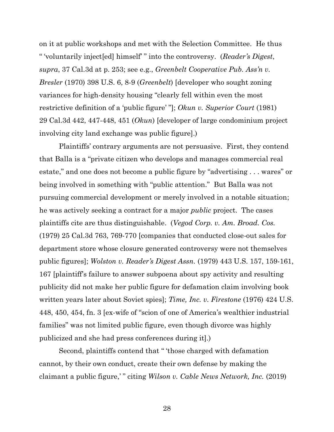on it at public workshops and met with the Selection Committee. He thus " 'voluntarily inject[ed] himself' " into the controversy. (*Reader's Digest*, *supra*, 37 Cal.3d at p. 253; see e.g., *Greenbelt Cooperative Pub. Ass'n v. Bresler* (1970) 398 U.S. 6, 8-9 (*Greenbelt*) [developer who sought zoning variances for high-density housing "clearly fell within even the most restrictive definition of a 'public figure' "]; *Okun v. Superior Court* (1981) 29 Cal.3d 442, 447-448, 451 (*Okun*) [developer of large condominium project involving city land exchange was public figure].)

Plaintiffs' contrary arguments are not persuasive. First, they contend that Balla is a "private citizen who develops and manages commercial real estate," and one does not become a public figure by "advertising . . . wares" or being involved in something with "public attention." But Balla was not pursuing commercial development or merely involved in a notable situation; he was actively seeking a contract for a major *public* project. The cases plaintiffs cite are thus distinguishable. (*Vegod Corp. v. Am. Broad. Cos.*  (1979) 25 Cal.3d 763, 769-770 [companies that conducted close-out sales for department store whose closure generated controversy were not themselves public figures]; *Wolston v. Reader's Digest Assn.* (1979) 443 U.S. 157, 159-161, 167 [plaintiff's failure to answer subpoena about spy activity and resulting publicity did not make her public figure for defamation claim involving book written years later about Soviet spies]; *Time, Inc. v. Firestone* (1976) 424 U.S. 448, 450, 454, fn. 3 [ex-wife of "scion of one of America's wealthier industrial families" was not limited public figure, even though divorce was highly publicized and she had press conferences during it].)

Second, plaintiffs contend that " 'those charged with defamation cannot, by their own conduct, create their own defense by making the claimant a public figure,' " citing *Wilson v. Cable News Network, Inc.* (2019)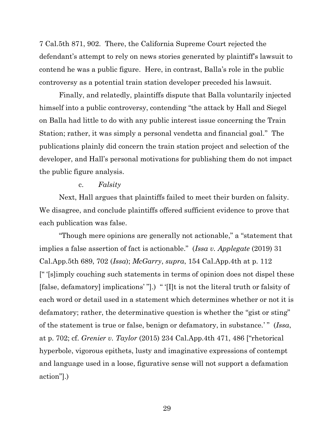7 Cal.5th 871, 902. There, the California Supreme Court rejected the defendant's attempt to rely on news stories generated by plaintiff's lawsuit to contend he was a public figure. Here, in contrast, Balla's role in the public controversy as a potential train station developer preceded his lawsuit.

Finally, and relatedly, plaintiffs dispute that Balla voluntarily injected himself into a public controversy, contending "the attack by Hall and Siegel on Balla had little to do with any public interest issue concerning the Train Station; rather, it was simply a personal vendetta and financial goal." The publications plainly did concern the train station project and selection of the developer, and Hall's personal motivations for publishing them do not impact the public figure analysis.

#### c. *Falsity*

Next, Hall argues that plaintiffs failed to meet their burden on falsity. We disagree, and conclude plaintiffs offered sufficient evidence to prove that each publication was false.

"Though mere opinions are generally not actionable," a "statement that implies a false assertion of fact is actionable." (*Issa v. Applegate* (2019) 31 Cal.App.5th 689, 702 (*Issa*); *McGarry*, *supra*, 154 Cal.App.4th at p. 112 [" '[s]imply couching such statements in terms of opinion does not dispel these [false, defamatory] implications' "].) " '[I]t is not the literal truth or falsity of each word or detail used in a statement which determines whether or not it is defamatory; rather, the determinative question is whether the "gist or sting" of the statement is true or false, benign or defamatory, in substance.' " (*Issa*, at p. 702; cf. *Grenier v. Taylor* (2015) 234 Cal.App.4th 471, 486 ["rhetorical hyperbole, vigorous epithets, lusty and imaginative expressions of contempt and language used in a loose, figurative sense will not support a defamation action"].)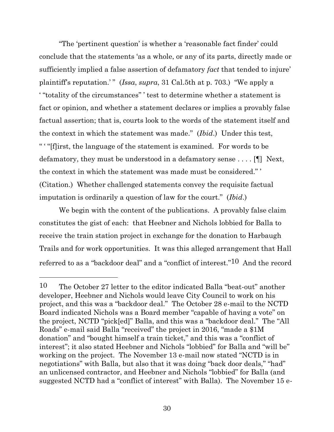"The 'pertinent question' is whether a 'reasonable fact finder' could conclude that the statements 'as a whole, or any of its parts, directly made or sufficiently implied a false assertion of defamatory *fact* that tended to injure' plaintiff's reputation.'" (*Issa, supra,* 31 Cal.5th at p. 703.) "We apply a ' "totality of the circumstances" ' test to determine whether a statement is fact or opinion, and whether a statement declares or implies a provably false factual assertion; that is, courts look to the words of the statement itself and the context in which the statement was made." (*Ibid*.) Under this test, " ' "[f]irst, the language of the statement is examined. For words to be defamatory, they must be understood in a defamatory sense . . . . [¶] Next, the context in which the statement was made must be considered." ' (Citation.) Whether challenged statements convey the requisite factual imputation is ordinarily a question of law for the court." (*Ibid*.)

We begin with the content of the publications. A provably false claim constitutes the gist of each: that Heebner and Nichols lobbied for Balla to receive the train station project in exchange for the donation to Harbaugh Trails and for work opportunities. It was this alleged arrangement that Hall referred to as a "backdoor deal" and a "conflict of interest."10 And the record

<sup>10</sup> The October 27 letter to the editor indicated Balla "beat-out" another developer, Heebner and Nichols would leave City Council to work on his project, and this was a "backdoor deal." The October 28 e-mail to the NCTD Board indicated Nichols was a Board member "capable of having a vote" on the project, NCTD "pick[ed]" Balla, and this was a "backdoor deal." The "All Roads" e-mail said Balla "received" the project in 2016, "made a \$1M donation" and "bought himself a train ticket," and this was a "conflict of interest"; it also stated Heebner and Nichols "lobbied" for Balla and "will be" working on the project. The November 13 e-mail now stated "NCTD is in negotiations" with Balla, but also that it was doing "back door deals," "had" an unlicensed contractor, and Heebner and Nichols "lobbied" for Balla (and suggested NCTD had a "conflict of interest" with Balla). The November 15 e-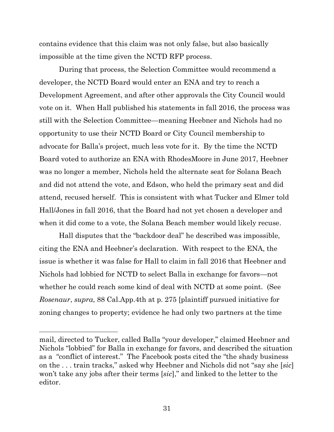contains evidence that this claim was not only false, but also basically impossible at the time given the NCTD RFP process.

During that process, the Selection Committee would recommend a developer, the NCTD Board would enter an ENA and try to reach a Development Agreement, and after other approvals the City Council would vote on it. When Hall published his statements in fall 2016, the process was still with the Selection Committee—meaning Heebner and Nichols had no opportunity to use their NCTD Board or City Council membership to advocate for Balla's project, much less vote for it. By the time the NCTD Board voted to authorize an ENA with RhodesMoore in June 2017, Heebner was no longer a member, Nichols held the alternate seat for Solana Beach and did not attend the vote, and Edson, who held the primary seat and did attend, recused herself. This is consistent with what Tucker and Elmer told Hall/Jones in fall 2016, that the Board had not yet chosen a developer and when it did come to a vote, the Solana Beach member would likely recuse.

Hall disputes that the "backdoor deal" he described was impossible, citing the ENA and Heebner's declaration. With respect to the ENA, the issue is whether it was false for Hall to claim in fall 2016 that Heebner and Nichols had lobbied for NCTD to select Balla in exchange for favors—not whether he could reach some kind of deal with NCTD at some point. (See *Rosenaur*, *supra*, 88 Cal.App.4th at p. 275 [plaintiff pursued initiative for zoning changes to property; evidence he had only two partners at the time

mail, directed to Tucker, called Balla "your developer," claimed Heebner and Nichols "lobbied" for Balla in exchange for favors, and described the situation as a "conflict of interest." The Facebook posts cited the "the shady business on the . . . train tracks," asked why Heebner and Nichols did not "say she [*sic*] won't take any jobs after their terms [*sic*]," and linked to the letter to the editor.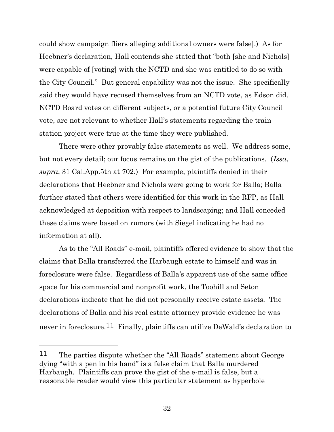could show campaign fliers alleging additional owners were false].) As for Heebner's declaration, Hall contends she stated that "both [she and Nichols] were capable of [voting] with the NCTD and she was entitled to do so with the City Council." But general capability was not the issue. She specifically said they would have recused themselves from an NCTD vote, as Edson did. NCTD Board votes on different subjects, or a potential future City Council vote, are not relevant to whether Hall's statements regarding the train station project were true at the time they were published.

There were other provably false statements as well. We address some, but not every detail; our focus remains on the gist of the publications. (*Issa*, *supra*, 31 Cal.App.5th at 702.) For example, plaintiffs denied in their declarations that Heebner and Nichols were going to work for Balla; Balla further stated that others were identified for this work in the RFP, as Hall acknowledged at deposition with respect to landscaping; and Hall conceded these claims were based on rumors (with Siegel indicating he had no information at all).

As to the "All Roads" e-mail, plaintiffs offered evidence to show that the claims that Balla transferred the Harbaugh estate to himself and was in foreclosure were false. Regardless of Balla's apparent use of the same office space for his commercial and nonprofit work, the Toohill and Seton declarations indicate that he did not personally receive estate assets. The declarations of Balla and his real estate attorney provide evidence he was never in foreclosure.<sup>11</sup> Finally, plaintiffs can utilize DeWald's declaration to

<sup>11</sup> The parties dispute whether the "All Roads" statement about George dying "with a pen in his hand" is a false claim that Balla murdered Harbaugh. Plaintiffs can prove the gist of the e-mail is false, but a reasonable reader would view this particular statement as hyperbole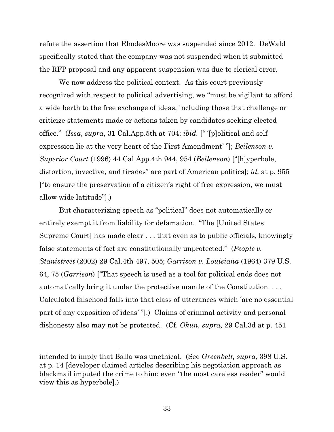refute the assertion that RhodesMoore was suspended since 2012. DeWald specifically stated that the company was not suspended when it submitted the RFP proposal and any apparent suspension was due to clerical error.

We now address the political context. As this court previously recognized with respect to political advertising, we "must be vigilant to afford a wide berth to the free exchange of ideas, including those that challenge or criticize statements made or actions taken by candidates seeking elected office." (*Issa*, *supra*, 31 Cal.App.5th at 704; *ibid.* [" '[p]olitical and self expression lie at the very heart of the First Amendment' "]; *Beilenson v. Superior Court* (1996) 44 Cal.App.4th 944, 954 (*Beilenson*) ["[h]yperbole, distortion, invective, and tirades" are part of American politics]; *id.* at p. 955 ["to ensure the preservation of a citizen's right of free expression, we must allow wide latitude"].)

But characterizing speech as "political" does not automatically or entirely exempt it from liability for defamation. "The [United States Supreme Court] has made clear . . . that even as to public officials, knowingly false statements of fact are constitutionally unprotected." (*People v. Stanistreet* (2002) 29 Cal.4th 497, 505; *Garrison v. Louisiana* (1964) 379 U.S. 64, 75 (*Garrison*) ["That speech is used as a tool for political ends does not automatically bring it under the protective mantle of the Constitution. . . . Calculated falsehood falls into that class of utterances which 'are no essential part of any exposition of ideas' "].) Claims of criminal activity and personal dishonesty also may not be protected. (Cf. *Okun, supra,* 29 Cal.3d at p. 451

intended to imply that Balla was unethical. (See *Greenbelt, supra,* 398 U.S. at p. 14 [developer claimed articles describing his negotiation approach as blackmail imputed the crime to him; even "the most careless reader" would view this as hyperbole].)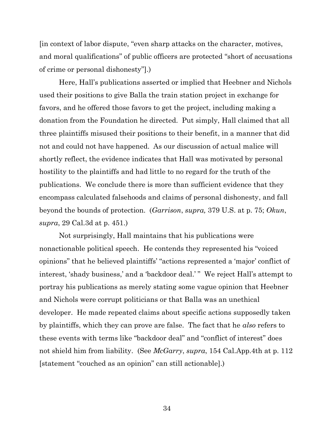[in context of labor dispute, "even sharp attacks on the character, motives, and moral qualifications" of public officers are protected "short of accusations of crime or personal dishonesty"].)

Here, Hall's publications asserted or implied that Heebner and Nichols used their positions to give Balla the train station project in exchange for favors, and he offered those favors to get the project, including making a donation from the Foundation he directed. Put simply, Hall claimed that all three plaintiffs misused their positions to their benefit, in a manner that did not and could not have happened. As our discussion of actual malice will shortly reflect, the evidence indicates that Hall was motivated by personal hostility to the plaintiffs and had little to no regard for the truth of the publications. We conclude there is more than sufficient evidence that they encompass calculated falsehoods and claims of personal dishonesty, and fall beyond the bounds of protection. (*Garrison*, *supra,* 379 U.S. at p. 75; *Okun*, *supra*, 29 Cal.3d at p. 451.)

Not surprisingly, Hall maintains that his publications were nonactionable political speech. He contends they represented his "voiced opinions" that he believed plaintiffs' "actions represented a 'major' conflict of interest, 'shady business,' and a 'backdoor deal.' " We reject Hall's attempt to portray his publications as merely stating some vague opinion that Heebner and Nichols were corrupt politicians or that Balla was an unethical developer. He made repeated claims about specific actions supposedly taken by plaintiffs, which they can prove are false. The fact that he *also* refers to these events with terms like "backdoor deal" and "conflict of interest" does not shield him from liability. (See *McGarry*, *supra*, 154 Cal.App.4th at p. 112 [statement "couched as an opinion" can still actionable].)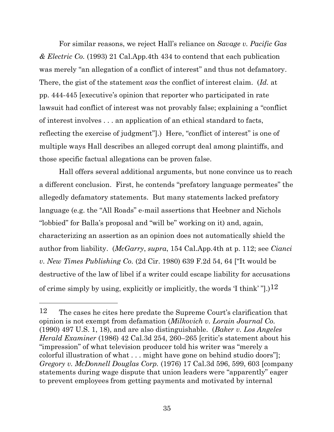For similar reasons, we reject Hall's reliance on *Savage v. Pacific Gas & Electric Co.* (1993) 21 Cal.App.4th 434 to contend that each publication was merely "an allegation of a conflict of interest" and thus not defamatory. There, the gist of the statement *was* the conflict of interest claim. (*Id.* at pp. 444-445 [executive's opinion that reporter who participated in rate lawsuit had conflict of interest was not provably false; explaining a "conflict of interest involves . . . an application of an ethical standard to facts, reflecting the exercise of judgment"].) Here, "conflict of interest" is one of multiple ways Hall describes an alleged corrupt deal among plaintiffs, and those specific factual allegations can be proven false.

Hall offers several additional arguments, but none convince us to reach a different conclusion. First, he contends "prefatory language permeates" the allegedly defamatory statements. But many statements lacked prefatory language (e.g. the "All Roads" e-mail assertions that Heebner and Nichols "lobbied" for Balla's proposal and "will be" working on it) and, again, characterizing an assertion as an opinion does not automatically shield the author from liability. (*McGarry*, *supra*, 154 Cal.App.4th at p. 112; see *Cianci v. New Times Publishing Co.* (2d Cir. 1980) 639 F.2d 54, 64 ["It would be destructive of the law of libel if a writer could escape liability for accusations of crime simply by using, explicitly or implicitly, the words  $T \text{ think'} "1.12"$ 

<sup>12</sup> The cases he cites here predate the Supreme Court's clarification that opinion is not exempt from defamation (*Milkovich v. Lorain Journal Co.* (1990) 497 U.S. 1, 18), and are also distinguishable. (*Baker v. Los Angeles Herald Examiner* (1986) 42 Cal.3d 254, 260–265 [critic's statement about his "impression" of what television producer told his writer was "merely a colorful illustration of what . . . might have gone on behind studio doors"]; *Gregory v. McDonnell Douglas Corp.* (1976) 17 Cal.3d 596, 599, 603 [company statements during wage dispute that union leaders were "apparently" eager to prevent employees from getting payments and motivated by internal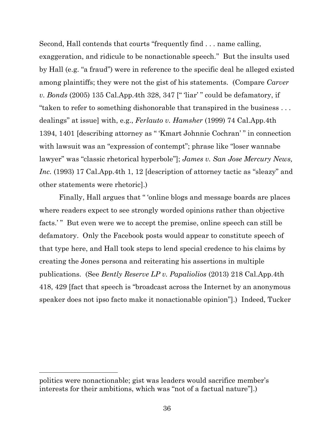Second, Hall contends that courts "frequently find . . . name calling, exaggeration, and ridicule to be nonactionable speech." But the insults used by Hall (e.g. "a fraud") were in reference to the specific deal he alleged existed among plaintiffs; they were not the gist of his statements. (Compare *Carver v. Bonds* (2005) 135 Cal.App.4th 328, 347 [" 'liar' " could be defamatory, if "taken to refer to something dishonorable that transpired in the business . . . dealings" at issue] with, e.g., *Ferlauto v. Hamsher* (1999) 74 Cal.App.4th 1394, 1401 [describing attorney as " 'Kmart Johnnie Cochran' " in connection with lawsuit was an "expression of contempt"; phrase like "loser wannabe" lawyer" was "classic rhetorical hyperbole"]; *James v. San Jose Mercury News, Inc.* (1993) 17 Cal.App.4th 1, 12 [description of attorney tactic as "sleazy" and other statements were rhetoric].)

Finally, Hall argues that " 'online blogs and message boards are places where readers expect to see strongly worded opinions rather than objective facts.'" But even were we to accept the premise, online speech can still be defamatory. Only the Facebook posts would appear to constitute speech of that type here, and Hall took steps to lend special credence to his claims by creating the Jones persona and reiterating his assertions in multiple publications. (See *Bently Reserve LP v. Papaliolios* (2013) 218 Cal.App.4th 418, 429 [fact that speech is "broadcast across the Internet by an anonymous speaker does not ipso facto make it nonactionable opinion"].) Indeed, Tucker

politics were nonactionable; gist was leaders would sacrifice member's interests for their ambitions, which was "not of a factual nature"].)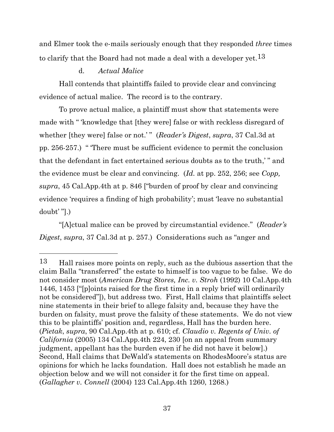and Elmer took the e-mails seriously enough that they responded *three* times to clarify that the Board had not made a deal with a developer  $vet.13$ 

# d. *Actual Malice*

Hall contends that plaintiffs failed to provide clear and convincing evidence of actual malice. The record is to the contrary.

To prove actual malice, a plaintiff must show that statements were made with " 'knowledge that [they were] false or with reckless disregard of whether [they were] false or not.'" (*Reader's Digest, supra,* 37 Cal.3d at pp. 256-257.) " 'There must be sufficient evidence to permit the conclusion that the defendant in fact entertained serious doubts as to the truth,' " and the evidence must be clear and convincing. (*Id.* at pp. 252, 256; see *Copp, supra*, 45 Cal.App.4th at p. 846 ["burden of proof by clear and convincing evidence 'requires a finding of high probability'; must 'leave no substantial doubt' "].)

"[A]ctual malice can be proved by circumstantial evidence." (*Reader's Digest*, *supra*, 37 Cal.3d at p. 257.) Considerations such as "anger and

<sup>13</sup> Hall raises more points on reply, such as the dubious assertion that the claim Balla "transferred" the estate to himself is too vague to be false. We do not consider most (*American Drug Stores, Inc. v. Stroh* (1992) 10 Cal.App.4th 1446, 1453 ["[p]oints raised for the first time in a reply brief will ordinarily not be considered"]), but address two. First, Hall claims that plaintiffs select nine statements in their brief to allege falsity and, because they have the burden on falsity, must prove the falsity of these statements. We do not view this to be plaintiffs' position and, regardless, Hall has the burden here. (*Pietak*, *supra*, 90 Cal.App.4th at p. 610; cf. *Claudio v. Regents of Univ. of California* (2005) 134 Cal.App.4th 224, 230 [on an appeal from summary judgment, appellant has the burden even if he did not have it below].) Second, Hall claims that DeWald's statements on RhodesMoore's status are opinions for which he lacks foundation. Hall does not establish he made an objection below and we will not consider it for the first time on appeal. (*Gallagher v. Connell* (2004) 123 Cal.App.4th 1260, 1268.)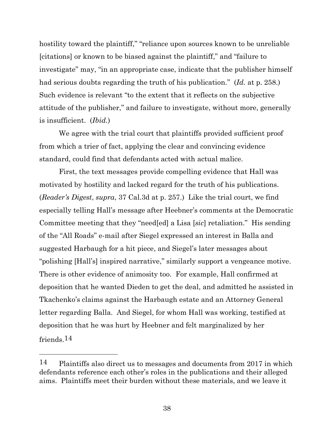hostility toward the plaintiff," "reliance upon sources known to be unreliable [citations] or known to be biased against the plaintiff," and "failure to investigate" may, "in an appropriate case, indicate that the publisher himself had serious doubts regarding the truth of his publication." (*Id.* at p. 258.) Such evidence is relevant "to the extent that it reflects on the subjective attitude of the publisher," and failure to investigate, without more, generally is insufficient. (*Ibid.*)

We agree with the trial court that plaintiffs provided sufficient proof from which a trier of fact, applying the clear and convincing evidence standard, could find that defendants acted with actual malice.

First, the text messages provide compelling evidence that Hall was motivated by hostility and lacked regard for the truth of his publications. (*Reader's Digest*, *supra*, 37 Cal.3d at p. 257.) Like the trial court, we find especially telling Hall's message after Heebner's comments at the Democratic Committee meeting that they "need[ed] a Lisa [*sic*] retaliation." His sending of the "All Roads" e-mail after Siegel expressed an interest in Balla and suggested Harbaugh for a hit piece, and Siegel's later messages about "polishing [Hall's] inspired narrative," similarly support a vengeance motive. There is other evidence of animosity too. For example, Hall confirmed at deposition that he wanted Dieden to get the deal, and admitted he assisted in Tkachenko's claims against the Harbaugh estate and an Attorney General letter regarding Balla. And Siegel, for whom Hall was working, testified at deposition that he was hurt by Heebner and felt marginalized by her friends.14

<sup>14</sup> Plaintiffs also direct us to messages and documents from 2017 in which defendants reference each other's roles in the publications and their alleged aims. Plaintiffs meet their burden without these materials, and we leave it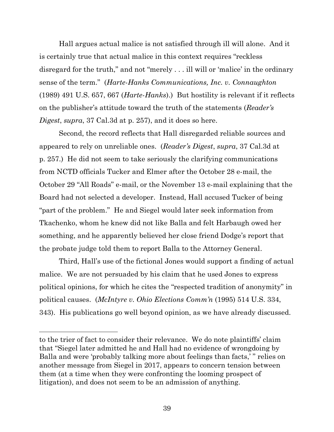Hall argues actual malice is not satisfied through ill will alone. And it is certainly true that actual malice in this context requires "reckless disregard for the truth," and not "merely . . . ill will or 'malice' in the ordinary sense of the term." (*Harte-Hanks Communications, Inc. v. Connaughton*  (1989) 491 U.S. 657, 667 (*Harte-Hanks*).) But hostility is relevant if it reflects on the publisher's attitude toward the truth of the statements (*Reader's Digest*, *supra*, 37 Cal.3d at p. 257), and it does so here.

Second, the record reflects that Hall disregarded reliable sources and appeared to rely on unreliable ones. (*Reader's Digest*, *supra*, 37 Cal.3d at p. 257.) He did not seem to take seriously the clarifying communications from NCTD officials Tucker and Elmer after the October 28 e-mail, the October 29 "All Roads" e-mail, or the November 13 e-mail explaining that the Board had not selected a developer. Instead, Hall accused Tucker of being "part of the problem." He and Siegel would later seek information from Tkachenko, whom he knew did not like Balla and felt Harbaugh owed her something, and he apparently believed her close friend Dodge's report that the probate judge told them to report Balla to the Attorney General.

Third, Hall's use of the fictional Jones would support a finding of actual malice. We are not persuaded by his claim that he used Jones to express political opinions, for which he cites the "respected tradition of anonymity" in political causes. (*McIntyre v. Ohio Elections Comm'n* (1995) 514 U.S. 334, 343). His publications go well beyond opinion, as we have already discussed.

to the trier of fact to consider their relevance. We do note plaintiffs' claim that "Siegel later admitted he and Hall had no evidence of wrongdoing by Balla and were 'probably talking more about feelings than facts,' " relies on another message from Siegel in 2017, appears to concern tension between them (at a time when they were confronting the looming prospect of litigation), and does not seem to be an admission of anything.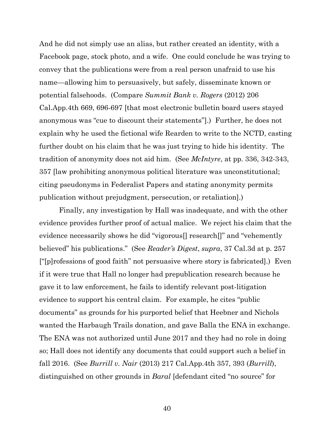And he did not simply use an alias, but rather created an identity, with a Facebook page, stock photo, and a wife. One could conclude he was trying to convey that the publications were from a real person unafraid to use his name—allowing him to persuasively, but safely, disseminate known or potential falsehoods. (Compare *Summit Bank v. Rogers* (2012) 206 Cal.App.4th 669, 696-697 [that most electronic bulletin board users stayed anonymous was "cue to discount their statements"].) Further, he does not explain why he used the fictional wife Rearden to write to the NCTD, casting further doubt on his claim that he was just trying to hide his identity. The tradition of anonymity does not aid him. (See *McIntyre*, at pp. 336, 342-343, 357 [law prohibiting anonymous political literature was unconstitutional; citing pseudonyms in Federalist Papers and stating anonymity permits publication without prejudgment, persecution, or retaliation].)

Finally, any investigation by Hall was inadequate, and with the other evidence provides further proof of actual malice. We reject his claim that the evidence necessarily shows he did "vigorous[] research[]" and "vehemently believed" his publications." (See *Reader's Digest*, *supra*, 37 Cal.3d at p. 257 ["[p]rofessions of good faith" not persuasive where story is fabricated].) Even if it were true that Hall no longer had prepublication research because he gave it to law enforcement, he fails to identify relevant post-litigation evidence to support his central claim. For example, he cites "public documents" as grounds for his purported belief that Heebner and Nichols wanted the Harbaugh Trails donation, and gave Balla the ENA in exchange. The ENA was not authorized until June 2017 and they had no role in doing so; Hall does not identify any documents that could support such a belief in fall 2016. (See *Burrill v. Nair* (2013) 217 Cal.App.4th 357, 393 (*Burrill*), distinguished on other grounds in *Baral* [defendant cited "no source" for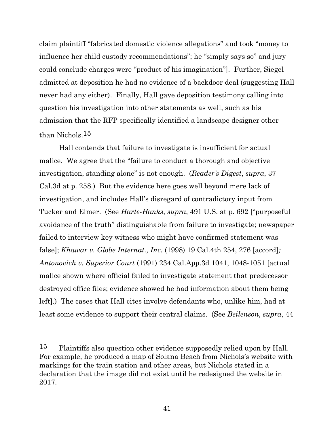claim plaintiff "fabricated domestic violence allegations" and took "money to influence her child custody recommendations"; he "simply says so" and jury could conclude charges were "product of his imagination"]. Further, Siegel admitted at deposition he had no evidence of a backdoor deal (suggesting Hall never had any either). Finally, Hall gave deposition testimony calling into question his investigation into other statements as well, such as his admission that the RFP specifically identified a landscape designer other than Nichols.15

Hall contends that failure to investigate is insufficient for actual malice. We agree that the "failure to conduct a thorough and objective investigation, standing alone" is not enough. (*Reader's Digest*, *supra*, 37 Cal.3d at p. 258.) But the evidence here goes well beyond mere lack of investigation, and includes Hall's disregard of contradictory input from Tucker and Elmer. (See *Harte-Hanks*, *supra*, 491 U.S. at p. 692 ["purposeful avoidance of the truth" distinguishable from failure to investigate; newspaper failed to interview key witness who might have confirmed statement was false]; *Khawar v. Globe Internat., Inc.* (1998) 19 Cal.4th 254, 276 [accord]*; Antonovich v. Superior Court* (1991) 234 Cal.App.3d 1041, 1048-1051 [actual malice shown where official failed to investigate statement that predecessor destroyed office files; evidence showed he had information about them being left].) The cases that Hall cites involve defendants who, unlike him, had at least some evidence to support their central claims. (See *Beilenson*, *supra*, 44

<sup>&</sup>lt;sup>15</sup> Plaintiffs also question other evidence supposedly relied upon by Hall. For example, he produced a map of Solana Beach from Nichols's website with markings for the train station and other areas, but Nichols stated in a declaration that the image did not exist until he redesigned the website in 2017.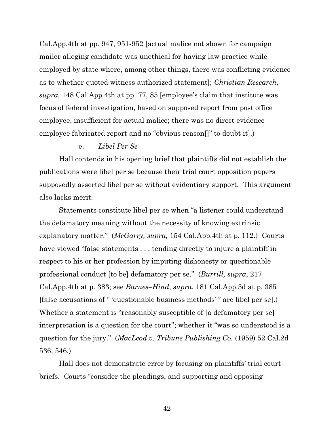Cal.App.4th at pp. 947, 951-952 [actual malice not shown for campaign mailer alleging candidate was unethical for having law practice while employed by state where, among other things, there was conflicting evidence as to whether quoted witness authorized statement]; *Christian Research, supra,* 148 Cal.App.4th at pp. 77, 85 [employee's claim that institute was focus of federal investigation, based on supposed report from post office employee, insufficient for actual malice; there was no direct evidence employee fabricated report and no "obvious reason<sup>"</sup> to doubt it.)

### e. *Libel Per Se*

Hall contends in his opening brief that plaintiffs did not establish the publications were libel per se because their trial court opposition papers supposedly asserted libel per se without evidentiary support. This argument also lacks merit.

Statements constitute libel per se when "a listener could understand the defamatory meaning without the necessity of knowing extrinsic explanatory matter." (*McGarry, supra,* 154 Cal.App.4th at p. 112.) Courts have viewed "false statements . . . tending directly to injure a plaintiff in respect to his or her profession by imputing dishonesty or questionable professional conduct [to be] defamatory per se." (*Burrill, supra*, 217 Cal.App.4th at p. 383; see *Barnes–Hind*, *supra*, 181 Cal.App.3d at p. 385 [false accusations of " 'questionable business methods' " are libel per se].) Whether a statement is "reasonably susceptible of [a defamatory per se] interpretation is a question for the court"; whether it "was so understood is a question for the jury." (*MacLeod v. Tribune Publishing Co.* (1959) 52 Cal.2d 536, 546.)

Hall does not demonstrate error by focusing on plaintiffs' trial court briefs. Courts "consider the pleadings, and supporting and opposing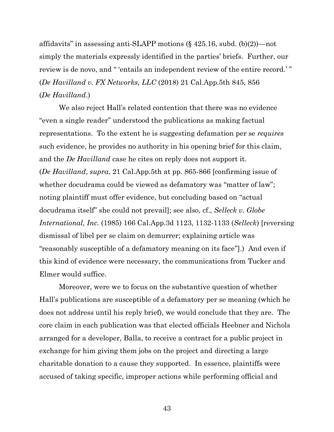affidavits" in assessing anti-SLAPP motions  $(\S$  425.16, subd. (b)(2))—not simply the materials expressly identified in the parties' briefs. Further, our review is de novo, and " 'entails an independent review of the entire record.'" (*De Havilland v. FX Networks, LLC* (2018) 21 Cal.App.5th 845, 856 (*De Havilland*.)

We also reject Hall's related contention that there was no evidence "even a single reader" understood the publications as making factual representations. To the extent he is suggesting defamation per se *requires* such evidence, he provides no authority in his opening brief for this claim, and the *De Havilland* case he cites on reply does not support it. (*De Havilland*, *supra*, 21 Cal.App.5th at pp. 865-866 [confirming issue of whether docudrama could be viewed as defamatory was "matter of law"; noting plaintiff must offer evidence, but concluding based on "actual docudrama itself" she could not prevail]; see also, cf., *Selleck v. Globe International, Inc.* (1985) 166 Cal.App.3d 1123, 1132-1133 (*Selleck*) [reversing dismissal of libel per se claim on demurrer; explaining article was "reasonably susceptible of a defamatory meaning on its face"].) And even if this kind of evidence were necessary, the communications from Tucker and Elmer would suffice.

Moreover, were we to focus on the substantive question of whether Hall's publications are susceptible of a defamatory per se meaning (which he does not address until his reply brief), we would conclude that they are. The core claim in each publication was that elected officials Heebner and Nichols arranged for a developer, Balla, to receive a contract for a public project in exchange for him giving them jobs on the project and directing a large charitable donation to a cause they supported. In essence, plaintiffs were accused of taking specific, improper actions while performing official and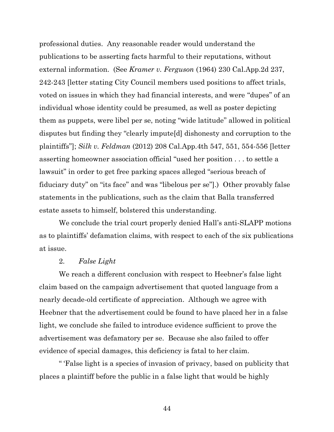professional duties. Any reasonable reader would understand the publications to be asserting facts harmful to their reputations, without external information. (See *Kramer v. Ferguson* (1964) 230 Cal.App.2d 237, 242-243 [letter stating City Council members used positions to affect trials, voted on issues in which they had financial interests, and were "dupes" of an individual whose identity could be presumed, as well as poster depicting them as puppets, were libel per se, noting "wide latitude" allowed in political disputes but finding they "clearly impute[d] dishonesty and corruption to the plaintiffs"]; *Silk v. Feldman* (2012) 208 Cal.App.4th 547, 551, 554-556 [letter asserting homeowner association official "used her position . . . to settle a lawsuit" in order to get free parking spaces alleged "serious breach of fiduciary duty" on "its face" and was "libelous per se"].)Other provably false statements in the publications, such as the claim that Balla transferred estate assets to himself, bolstered this understanding.

We conclude the trial court properly denied Hall's anti-SLAPP motions as to plaintiffs' defamation claims, with respect to each of the six publications at issue.

#### 2. *False Light*

We reach a different conclusion with respect to Heebner's false light claim based on the campaign advertisement that quoted language from a nearly decade-old certificate of appreciation. Although we agree with Heebner that the advertisement could be found to have placed her in a false light, we conclude she failed to introduce evidence sufficient to prove the advertisement was defamatory per se. Because she also failed to offer evidence of special damages, this deficiency is fatal to her claim.

" 'False light is a species of invasion of privacy, based on publicity that places a plaintiff before the public in a false light that would be highly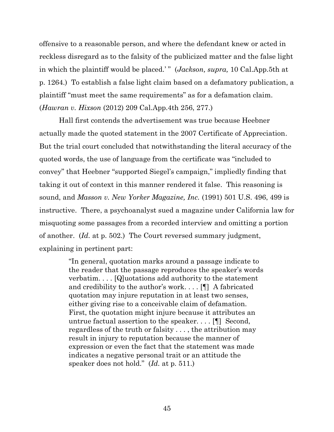offensive to a reasonable person, and where the defendant knew or acted in reckless disregard as to the falsity of the publicized matter and the false light in which the plaintiff would be placed.' " (*Jackson, supra,* 10 Cal.App.5th at p. 1264.) To establish a false light claim based on a defamatory publication, a plaintiff "must meet the same requirements" as for a defamation claim. (*Hawran v. Hixson* (2012) 209 Cal.App.4th 256, 277.)

Hall first contends the advertisement was true because Heebner actually made the quoted statement in the 2007 Certificate of Appreciation. But the trial court concluded that notwithstanding the literal accuracy of the quoted words, the use of language from the certificate was "included to convey" that Heebner "supported Siegel's campaign," impliedly finding that taking it out of context in this manner rendered it false. This reasoning is sound, and *Masson v. New Yorker Magazine, Inc.* (1991) 501 U.S. 496, 499 is instructive. There, a psychoanalyst sued a magazine under California law for misquoting some passages from a recorded interview and omitting a portion of another. (*Id.* at p. 502.) The Court reversed summary judgment, explaining in pertinent part:

> "In general, quotation marks around a passage indicate to the reader that the passage reproduces the speaker's words verbatim. . . . [Q]uotations add authority to the statement and credibility to the author's work. . . . [¶] A fabricated quotation may injure reputation in at least two senses, either giving rise to a conceivable claim of defamation. First, the quotation might injure because it attributes an untrue factual assertion to the speaker. . . . [¶] Second, regardless of the truth or falsity . . . , the attribution may result in injury to reputation because the manner of expression or even the fact that the statement was made indicates a negative personal trait or an attitude the speaker does not hold." (*Id.* at p. 511.)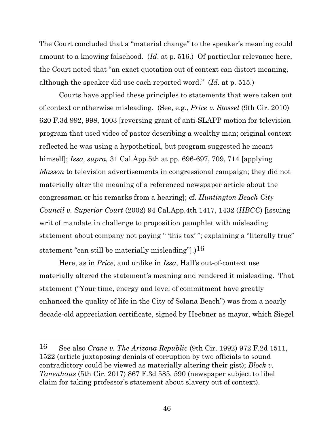The Court concluded that a "material change" to the speaker's meaning could amount to a knowing falsehood. (*Id*. at p. 516.) Of particular relevance here, the Court noted that "an exact quotation out of context can distort meaning, although the speaker did use each reported word." (*Id*. at p. 515.)

Courts have applied these principles to statements that were taken out of context or otherwise misleading. (See, e.g., *Price v. Stossel* (9th Cir. 2010) 620 F.3d 992, 998, 1003 [reversing grant of anti-SLAPP motion for television program that used video of pastor describing a wealthy man; original context reflected he was using a hypothetical, but program suggested he meant himself]; *Issa, supra,* 31 Cal.App.5th at pp. 696-697, 709, 714 [applying *Masson* to television advertisements in congressional campaign; they did not materially alter the meaning of a referenced newspaper article about the congressman or his remarks from a hearing]; cf. *Huntington Beach City Council v. Superior Court* (2002) 94 Cal.App.4th 1417, 1432 (*HBCC*) [issuing writ of mandate in challenge to proposition pamphlet with misleading statement about company not paying " 'this tax' "; explaining a "literally true" statement "can still be materially misleading".) $16$ 

Here, as in *Price*, and unlike in *Issa*, Hall's out-of-context use materially altered the statement's meaning and rendered it misleading. That statement ("Your time, energy and level of commitment have greatly enhanced the quality of life in the City of Solana Beach") was from a nearly decade-old appreciation certificate, signed by Heebner as mayor, which Siegel

<sup>16</sup> See also *Crane v. The Arizona Republic* (9th Cir. 1992) 972 F.2d 1511, 1522 (article juxtaposing denials of corruption by two officials to sound contradictory could be viewed as materially altering their gist); *Block v. Tanenhaus* (5th Cir. 2017) 867 F.3d 585, 590 (newspaper subject to libel claim for taking professor's statement about slavery out of context).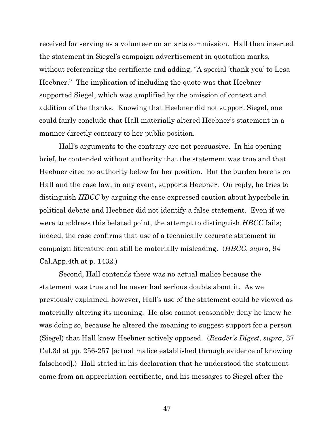received for serving as a volunteer on an arts commission. Hall then inserted the statement in Siegel's campaign advertisement in quotation marks, without referencing the certificate and adding, "A special 'thank you' to Lesa Heebner." The implication of including the quote was that Heebner supported Siegel, which was amplified by the omission of context and addition of the thanks. Knowing that Heebner did not support Siegel, one could fairly conclude that Hall materially altered Heebner's statement in a manner directly contrary to her public position.

Hall's arguments to the contrary are not persuasive. In his opening brief, he contended without authority that the statement was true and that Heebner cited no authority below for her position. But the burden here is on Hall and the case law, in any event, supports Heebner. On reply, he tries to distinguish *HBCC* by arguing the case expressed caution about hyperbole in political debate and Heebner did not identify a false statement. Even if we were to address this belated point, the attempt to distinguish *HBCC* fails; indeed, the case confirms that use of a technically accurate statement in campaign literature can still be materially misleading. (*HBCC*, *supra*, 94 Cal.App.4th at p. 1432.)

Second, Hall contends there was no actual malice because the statement was true and he never had serious doubts about it. As we previously explained, however, Hall's use of the statement could be viewed as materially altering its meaning. He also cannot reasonably deny he knew he was doing so, because he altered the meaning to suggest support for a person (Siegel) that Hall knew Heebner actively opposed. (*Reader's Digest*, *supra*, 37 Cal.3d at pp. 256-257 [actual malice established through evidence of knowing falsehood].) Hall stated in his declaration that he understood the statement came from an appreciation certificate, and his messages to Siegel after the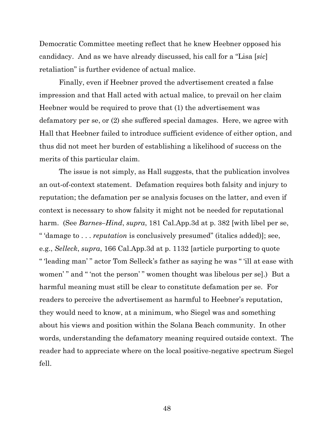Democratic Committee meeting reflect that he knew Heebner opposed his candidacy. And as we have already discussed, his call for a "Lisa [*sic*] retaliation" is further evidence of actual malice.

Finally, even if Heebner proved the advertisement created a false impression and that Hall acted with actual malice, to prevail on her claim Heebner would be required to prove that (1) the advertisement was defamatory per se, or (2) she suffered special damages. Here, we agree with Hall that Heebner failed to introduce sufficient evidence of either option, and thus did not meet her burden of establishing a likelihood of success on the merits of this particular claim.

The issue is not simply, as Hall suggests, that the publication involves an out-of-context statement. Defamation requires both falsity and injury to reputation; the defamation per se analysis focuses on the latter, and even if context is necessary to show falsity it might not be needed for reputational harm. (See *Barnes–Hind*, *supra*, 181 Cal.App.3d at p. 382 [with libel per se, " 'damage to . . . *reputation* is conclusively presumed" (italics added)]; see, e.g., *Selleck*, *supra*, 166 Cal.App.3d at p. 1132 [article purporting to quote " 'leading man' " actor Tom Selleck's father as saying he was " 'ill at ease with women'" and " 'not the person'" women thought was libelous per sel.) But a harmful meaning must still be clear to constitute defamation per se. For readers to perceive the advertisement as harmful to Heebner's reputation, they would need to know, at a minimum, who Siegel was and something about his views and position within the Solana Beach community. In other words, understanding the defamatory meaning required outside context. The reader had to appreciate where on the local positive-negative spectrum Siegel fell.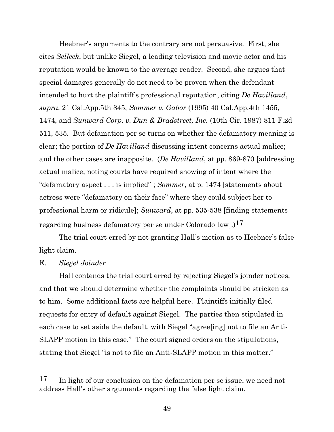Heebner's arguments to the contrary are not persuasive. First, she cites *Selleck*, but unlike Siegel, a leading television and movie actor and his reputation would be known to the average reader. Second, she argues that special damages generally do not need to be proven when the defendant intended to hurt the plaintiff's professional reputation, citing *De Havilland*, *supra*, 21 Cal.App.5th 845, *Sommer v. Gabor* (1995) 40 Cal.App.4th 1455, 1474, and *Sunward Corp. v. Dun & Bradstreet, Inc.* (10th Cir. 1987) 811 F.2d 511, 535. But defamation per se turns on whether the defamatory meaning is clear; the portion of *De Havilland* discussing intent concerns actual malice; and the other cases are inapposite. (*De Havilland*, at pp. 869-870 [addressing actual malice; noting courts have required showing of intent where the "defamatory aspect . . . is implied"]; *Sommer*, at p. 1474 [statements about actress were "defamatory on their face" where they could subject her to professional harm or ridicule]; *Sunward*, at pp. 535-538 [finding statements regarding business defamatory per se under Colorado law $]$ .)<sup>17</sup>

The trial court erred by not granting Hall's motion as to Heebner's false light claim.

### E. *Siegel Joinder*

Hall contends the trial court erred by rejecting Siegel's joinder notices, and that we should determine whether the complaints should be stricken as to him. Some additional facts are helpful here. Plaintiffs initially filed requests for entry of default against Siegel. The parties then stipulated in each case to set aside the default, with Siegel "agree[ing] not to file an Anti-SLAPP motion in this case." The court signed orders on the stipulations, stating that Siegel "is not to file an Anti-SLAPP motion in this matter."

<sup>&</sup>lt;sup>17</sup> In light of our conclusion on the defamation per se issue, we need not address Hall's other arguments regarding the false light claim.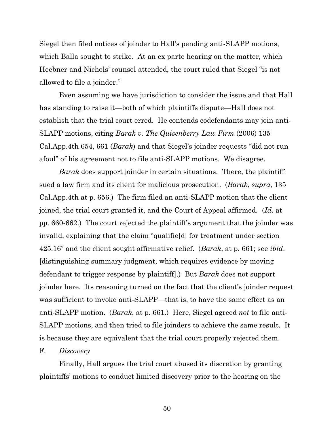Siegel then filed notices of joinder to Hall's pending anti-SLAPP motions, which Balla sought to strike. At an ex parte hearing on the matter, which Heebner and Nichols' counsel attended, the court ruled that Siegel "is not allowed to file a joinder."

Even assuming we have jurisdiction to consider the issue and that Hall has standing to raise it—both of which plaintiffs dispute—Hall does not establish that the trial court erred. He contends codefendants may join anti-SLAPP motions, citing *Barak v. The Quisenberry Law Firm* (2006) 135 Cal.App.4th 654, 661 (*Barak*) and that Siegel's joinder requests "did not run afoul" of his agreement not to file anti-SLAPP motions. We disagree.

*Barak* does support joinder in certain situations. There, the plaintiff sued a law firm and its client for malicious prosecution. (*Barak*, *supra*, 135 Cal.App.4th at p. 656.) The firm filed an anti-SLAPP motion that the client joined, the trial court granted it, and the Court of Appeal affirmed. (*Id*. at pp. 660-662.) The court rejected the plaintiff's argument that the joinder was invalid, explaining that the claim "qualifie[d] for treatment under section 425.16" and the client sought affirmative relief. (*Barak*, at p. 661; see *ibid*. [distinguishing summary judgment, which requires evidence by moving defendant to trigger response by plaintiff].) But *Barak* does not support joinder here. Its reasoning turned on the fact that the client's joinder request was sufficient to invoke anti-SLAPP—that is, to have the same effect as an anti-SLAPP motion. (*Barak*, at p. 661.) Here, Siegel agreed *not* to file anti-SLAPP motions, and then tried to file joinders to achieve the same result. It is because they are equivalent that the trial court properly rejected them.

### F. *Discovery*

Finally, Hall argues the trial court abused its discretion by granting plaintiffs' motions to conduct limited discovery prior to the hearing on the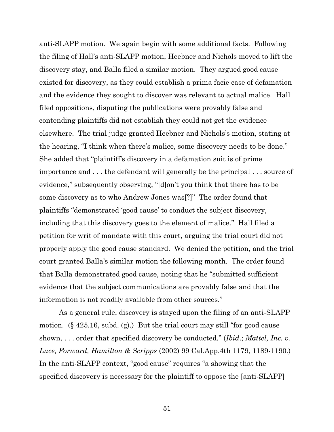anti-SLAPP motion. We again begin with some additional facts. Following the filing of Hall's anti-SLAPP motion, Heebner and Nichols moved to lift the discovery stay, and Balla filed a similar motion. They argued good cause existed for discovery, as they could establish a prima facie case of defamation and the evidence they sought to discover was relevant to actual malice. Hall filed oppositions, disputing the publications were provably false and contending plaintiffs did not establish they could not get the evidence elsewhere. The trial judge granted Heebner and Nichols's motion, stating at the hearing, "I think when there's malice, some discovery needs to be done." She added that "plaintiff's discovery in a defamation suit is of prime importance and . . . the defendant will generally be the principal . . . source of evidence," subsequently observing, "[d]on't you think that there has to be some discovery as to who Andrew Jones was[?]" The order found that plaintiffs "demonstrated 'good cause' to conduct the subject discovery, including that this discovery goes to the element of malice." Hall filed a petition for writ of mandate with this court, arguing the trial court did not properly apply the good cause standard. We denied the petition, and the trial court granted Balla's similar motion the following month. The order found that Balla demonstrated good cause, noting that he "submitted sufficient evidence that the subject communications are provably false and that the information is not readily available from other sources."

As a general rule, discovery is stayed upon the filing of an anti-SLAPP motion. (§ 425.16, subd. (g).) But the trial court may still "for good cause shown, . . . order that specified discovery be conducted." (*Ibid*.; *Mattel, Inc. v. Luce, Forward, Hamilton & Scripps* (2002) 99 Cal.App.4th 1179, 1189-1190.) In the anti-SLAPP context, "good cause" requires "a showing that the specified discovery is necessary for the plaintiff to oppose the [anti-SLAPP]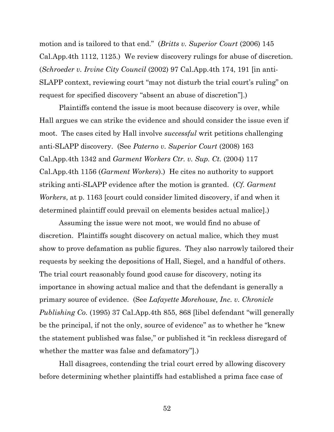motion and is tailored to that end." (*Britts v. Superior Court* (2006) 145 Cal.App.4th 1112, 1125.) We review discovery rulings for abuse of discretion. (*Schroeder v. Irvine City Council* (2002) 97 Cal.App.4th 174, 191 [in anti-SLAPP context, reviewing court "may not disturb the trial court's ruling" on request for specified discovery "absent an abuse of discretion"].)

Plaintiffs contend the issue is moot because discovery is over, while Hall argues we can strike the evidence and should consider the issue even if moot. The cases cited by Hall involve *successful* writ petitions challenging anti-SLAPP discovery. (See *Paterno v. Superior Court* (2008) 163 Cal.App.4th 1342 and *Garment Workers Ctr. v. Sup. Ct.* (2004) 117 Cal.App.4th 1156 (*Garment Workers*).) He cites no authority to support striking anti-SLAPP evidence after the motion is granted. (*Cf. Garment Workers*, at p. 1163 [court could consider limited discovery, if and when it determined plaintiff could prevail on elements besides actual malice].)

Assuming the issue were not moot, we would find no abuse of discretion. Plaintiffs sought discovery on actual malice, which they must show to prove defamation as public figures. They also narrowly tailored their requests by seeking the depositions of Hall, Siegel, and a handful of others. The trial court reasonably found good cause for discovery, noting its importance in showing actual malice and that the defendant is generally a primary source of evidence. (See *Lafayette Morehouse, Inc. v. Chronicle Publishing Co.* (1995) 37 Cal.App.4th 855, 868 [libel defendant "will generally be the principal, if not the only, source of evidence" as to whether he "knew the statement published was false," or published it "in reckless disregard of whether the matter was false and defamatory"].)

Hall disagrees, contending the trial court erred by allowing discovery before determining whether plaintiffs had established a prima face case of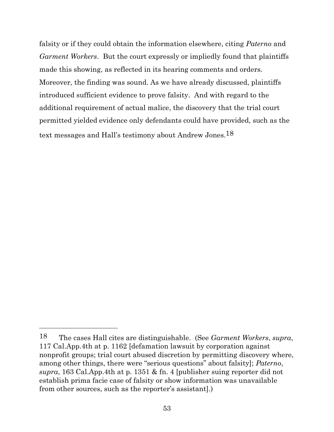falsity or if they could obtain the information elsewhere, citing *Paterno* and *Garment Workers*. But the court expressly or impliedly found that plaintiffs made this showing, as reflected in its hearing comments and orders. Moreover, the finding was sound. As we have already discussed, plaintiffs introduced sufficient evidence to prove falsity. And with regard to the additional requirement of actual malice, the discovery that the trial court permitted yielded evidence only defendants could have provided, such as the text messages and Hall's testimony about Andrew Jones.18

<sup>18</sup> The cases Hall cites are distinguishable. (See *Garment Workers*, *supra*, 117 Cal.App.4th at p. 1162 [defamation lawsuit by corporation against nonprofit groups; trial court abused discretion by permitting discovery where, among other things, there were "serious questions" about falsity]; *Paterno*, *supra*, 163 Cal.App.4th at p. 1351 & fn. 4 [publisher suing reporter did not establish prima facie case of falsity or show information was unavailable from other sources, such as the reporter's assistant].)